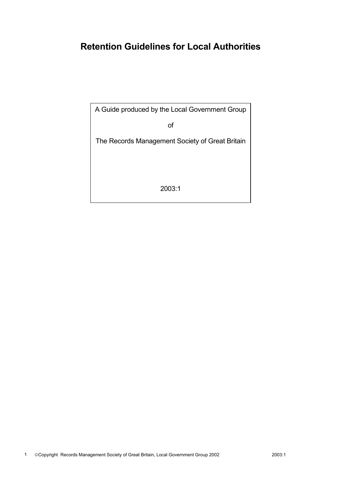# **Retention Guidelines for Local Authorities**

A Guide produced by the Local Government Group

of

The Records Management Society of Great Britain

2003:1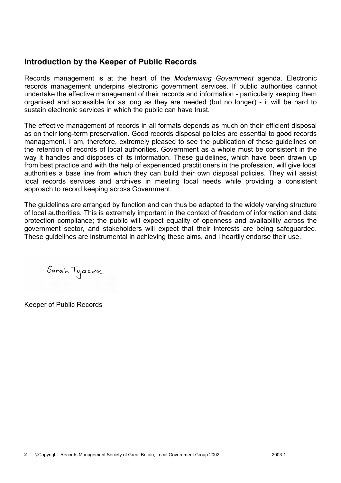### **Introduction by the Keeper of Public Records**

Records management is at the heart of the *Modernising Government* agenda. Electronic records management underpins electronic government services. If public authorities cannot undertake the effective management of their records and information - particularly keeping them organised and accessible for as long as they are needed (but no longer) - it will be hard to sustain electronic services in which the public can have trust.

The effective management of records in all formats depends as much on their efficient disposal as on their long-term preservation. Good records disposal policies are essential to good records management. I am, therefore, extremely pleased to see the publication of these guidelines on the retention of records of local authorities. Government as a whole must be consistent in the way it handles and disposes of its information. These guidelines, which have been drawn up from best practice and with the help of experienced practitioners in the profession, will give local authorities a base line from which they can build their own disposal policies. They will assist local records services and archives in meeting local needs while providing a consistent approach to record keeping across Government.

The guidelines are arranged by function and can thus be adapted to the widely varying structure of local authorities. This is extremely important in the context of freedom of information and data protection compliance; the public will expect equality of openness and availability across the government sector, and stakeholders will expect that their interests are being safeguarded. These guidelines are instrumental in achieving these aims, and I heartily endorse their use.

Sarah Tyacke

Keeper of Public Records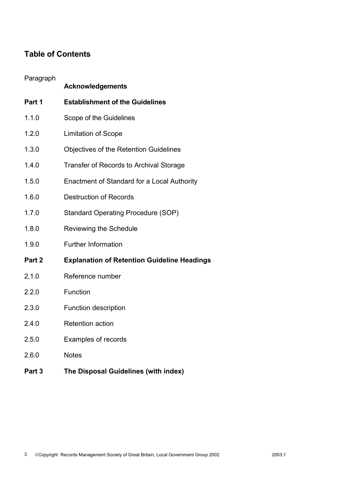### **Table of Contents**

#### Paragraph

|        | <b>Acknowledgements</b>                            |
|--------|----------------------------------------------------|
| Part 1 | <b>Establishment of the Guidelines</b>             |
| 1.1.0  | Scope of the Guidelines                            |
| 1.2.0  | <b>Limitation of Scope</b>                         |
| 1.3.0  | <b>Objectives of the Retention Guidelines</b>      |
| 1.4.0  | Transfer of Records to Archival Storage            |
| 1.5.0  | Enactment of Standard for a Local Authority        |
| 1.6.0  | <b>Destruction of Records</b>                      |
| 1.7.0  | <b>Standard Operating Procedure (SOP)</b>          |
| 1.8.0  | Reviewing the Schedule                             |
| 1.9.0  | <b>Further Information</b>                         |
| Part 2 | <b>Explanation of Retention Guideline Headings</b> |
| 2.1.0  | Reference number                                   |
| 2.2.0  | Function                                           |
| 2.3.0  | <b>Function description</b>                        |
| 2.4.0  | <b>Retention action</b>                            |
| 2.5.0  | Examples of records                                |
| 2.6.0  | <b>Notes</b>                                       |
| Part 3 | The Disposal Guidelines (with index)               |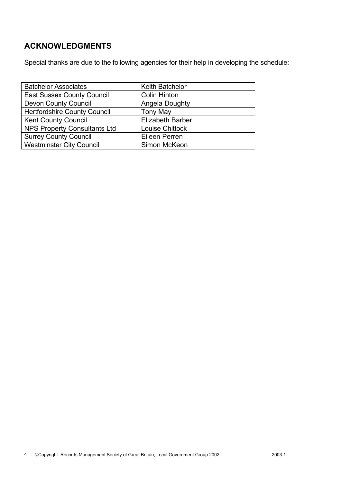### **ACKNOWLEDGMENTS**

Special thanks are due to the following agencies for their help in developing the schedule:

| <b>Batchelor Associates</b>         | <b>Keith Batchelor</b>  |
|-------------------------------------|-------------------------|
| <b>East Sussex County Council</b>   | <b>Colin Hinton</b>     |
| <b>Devon County Council</b>         | Angela Doughty          |
| <b>Hertfordshire County Council</b> | <b>Tony May</b>         |
| <b>Kent County Council</b>          | <b>Elizabeth Barber</b> |
| <b>NPS Property Consultants Ltd</b> | Louise Chittock         |
| <b>Surrey County Council</b>        | <b>Eileen Perren</b>    |
| <b>Westminster City Council</b>     | Simon McKeon            |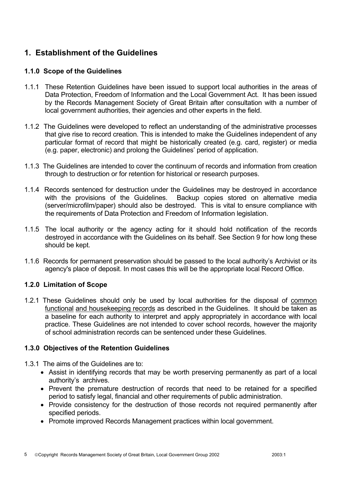### **1. Establishment of the Guidelines**

#### **1.1.0 Scope of the Guidelines**

- 1.1.1 These Retention Guidelines have been issued to support local authorities in the areas of Data Protection, Freedom of Information and the Local Government Act. It has been issued by the Records Management Society of Great Britain after consultation with a number of local government authorities, their agencies and other experts in the field.
- 1.1.2 The Guidelines were developed to reflect an understanding of the administrative processes that give rise to record creation. This is intended to make the Guidelines independent of any particular format of record that might be historically created (e.g. card, register) or media (e.g. paper, electronic) and prolong the Guidelines' period of application.
- 1.1.3 The Guidelines are intended to cover the continuum of records and information from creation through to destruction or for retention for historical or research purposes.
- 1.1.4 Records sentenced for destruction under the Guidelines may be destroyed in accordance with the provisions of the Guidelines. Backup copies stored on alternative media (server/microfilm/paper) should also be destroyed. This is vital to ensure compliance with the requirements of Data Protection and Freedom of Information legislation.
- 1.1.5 The local authority or the agency acting for it should hold notification of the records destroyed in accordance with the Guidelines on its behalf. See Section 9 for how long these should be kept.
- 1.1.6 Records for permanent preservation should be passed to the local authority's Archivist or its agency's place of deposit. In most cases this will be the appropriate local Record Office.

#### **1.2.0 Limitation of Scope**

1.2.1 These Guidelines should only be used by local authorities for the disposal of common functional and housekeeping records as described in the Guidelines. It should be taken as a baseline for each authority to interpret and apply appropriately in accordance with local practice. These Guidelines are not intended to cover school records, however the majority of school administration records can be sentenced under these Guidelines.

#### **1.3.0 Objectives of the Retention Guidelines**

- 1.3.1 The aims of the Guidelines are to:
	- Assist in identifying records that may be worth preserving permanently as part of a local authority's archives.
	- Prevent the premature destruction of records that need to be retained for a specified period to satisfy legal, financial and other requirements of public administration.
	- Provide consistency for the destruction of those records not required permanently after specified periods.
	- Promote improved Records Management practices within local government.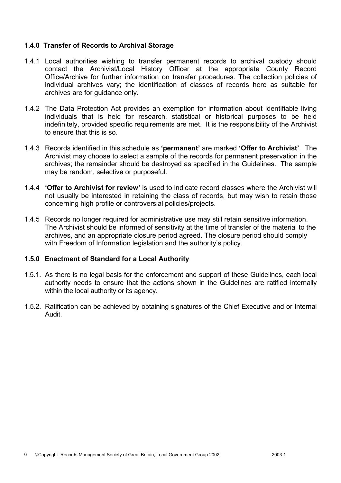#### **1.4.0 Transfer of Records to Archival Storage**

- 1.4.1 Local authorities wishing to transfer permanent records to archival custody should contact the Archivist/Local History Officer at the appropriate County Record Office/Archive for further information on transfer procedures. The collection policies of individual archives vary; the identification of classes of records here as suitable for archives are for quidance only.
- 1.4.2 The Data Protection Act provides an exemption for information about identifiable living individuals that is held for research, statistical or historical purposes to be held indefinitely, provided specific requirements are met. It is the responsibility of the Archivist to ensure that this is so.
- 1.4.3 Records identified in this schedule as **'permanent'** are marked **'Offer to Archivist'**. The Archivist may choose to select a sample of the records for permanent preservation in the archives; the remainder should be destroyed as specified in the Guidelines. The sample may be random, selective or purposeful.
- 1.4.4 **'Offer to Archivist for review'** is used to indicate record classes where the Archivist will not usually be interested in retaining the class of records, but may wish to retain those concerning high profile or controversial policies/projects.
- 1.4.5 Records no longer required for administrative use may still retain sensitive information. The Archivist should be informed of sensitivity at the time of transfer of the material to the archives, and an appropriate closure period agreed. The closure period should comply with Freedom of Information legislation and the authority's policy.

#### **1.5.0 Enactment of Standard for a Local Authority**

- 1.5.1. As there is no legal basis for the enforcement and support of these Guidelines, each local authority needs to ensure that the actions shown in the Guidelines are ratified internally within the local authority or its agency.
- 1.5.2. Ratification can be achieved by obtaining signatures of the Chief Executive and or Internal Audit.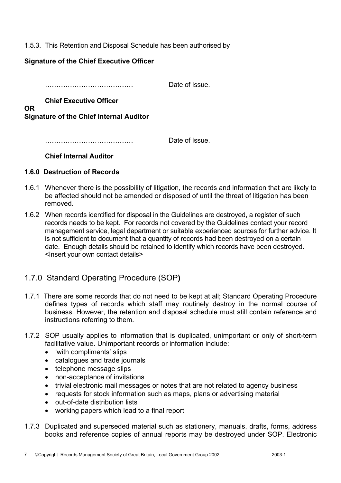#### 1.5.3. This Retention and Disposal Schedule has been authorised by

#### **Signature of the Chief Executive Officer**

………………………………… Date of Issue.

#### **Chief Executive Officer OR**

**Signature of the Chief Internal Auditor** 

………………………………… Date of Issue.

**Chief Internal Auditor**

#### **1.6.0 Destruction of Records**

- 1.6.1 Whenever there is the possibility of litigation, the records and information that are likely to be affected should not be amended or disposed of until the threat of litigation has been removed.
- 1.6.2 When records identified for disposal in the Guidelines are destroyed, a register of such records needs to be kept. For records not covered by the Guidelines contact your record management service, legal department or suitable experienced sources for further advice. It is not sufficient to document that a quantity of records had been destroyed on a certain date. Enough details should be retained to identify which records have been destroyed. <Insert your own contact details>

### 1.7.0 Standard Operating Procedure (SOP**)**

- 1.7.1 There are some records that do not need to be kept at all; Standard Operating Procedure defines types of records which staff may routinely destroy in the normal course of business. However, the retention and disposal schedule must still contain reference and instructions referring to them.
- 1.7.2 SOP usually applies to information that is duplicated, unimportant or only of short-term facilitative value. Unimportant records or information include:
	- 'with compliments' slips
	- catalogues and trade journals
	- telephone message slips
	- non-acceptance of invitations
	- trivial electronic mail messages or notes that are not related to agency business
	- requests for stock information such as maps, plans or advertising material
	- out-of-date distribution lists
	- working papers which lead to a final report
- 1.7.3 Duplicated and superseded material such as stationery, manuals, drafts, forms, address books and reference copies of annual reports may be destroyed under SOP. Electronic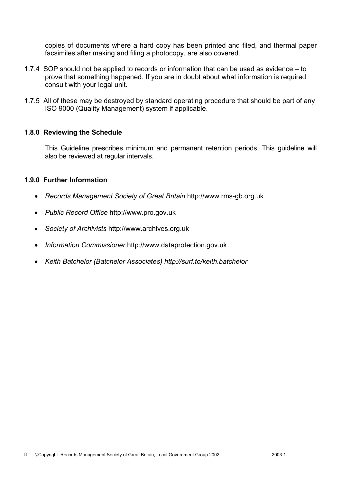copies of documents where a hard copy has been printed and filed, and thermal paper facsimiles after making and filing a photocopy, are also covered.

- 1.7.4 SOP should not be applied to records or information that can be used as evidence to prove that something happened. If you are in doubt about what information is required consult with your legal unit.
- 1.7.5 All of these may be destroyed by standard operating procedure that should be part of any ISO 9000 (Quality Management) system if applicable.

#### **1.8.0 Reviewing the Schedule**

 This Guideline prescribes minimum and permanent retention periods. This guideline will also be reviewed at regular intervals.

#### **1.9.0 Further Information**

- *Records Management Society of Great Britain* http://www.rms-gb.org.uk
- *Public Record Office* http://www.pro.gov.uk
- *Society of Archivists* http://www.archives.org.uk
- *Information Commissioner* http://www.dataprotection.gov.uk
- *Keith Batchelor (Batchelor Associates) http://surf.to/keith.batchelor*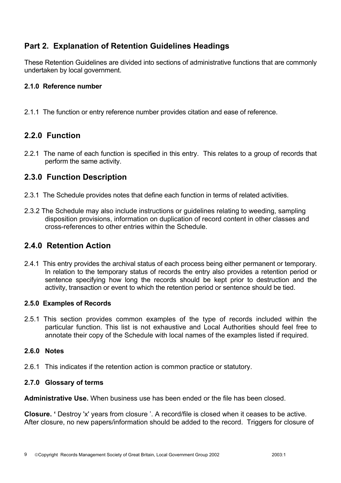### **Part 2. Explanation of Retention Guidelines Headings**

These Retention Guidelines are divided into sections of administrative functions that are commonly undertaken by local government.

#### **2.1.0 Reference number**

2.1.1 The function or entry reference number provides citation and ease of reference.

### **2.2.0 Function**

2.2.1 The name of each function is specified in this entry. This relates to a group of records that perform the same activity.

### **2.3.0 Function Description**

- 2.3.1 The Schedule provides notes that define each function in terms of related activities.
- 2.3.2 The Schedule may also include instructions or guidelines relating to weeding, sampling disposition provisions, information on duplication of record content in other classes and cross-references to other entries within the Schedule.

### **2.4.0 Retention Action**

2.4.1 This entry provides the archival status of each process being either permanent or temporary. In relation to the temporary status of records the entry also provides a retention period or sentence specifying how long the records should be kept prior to destruction and the activity, transaction or event to which the retention period or sentence should be tied.

#### **2.5.0 Examples of Records**

2.5.1 This section provides common examples of the type of records included within the particular function. This list is not exhaustive and Local Authorities should feel free to annotate their copy of the Schedule with local names of the examples listed if required.

#### **2.6.0 Notes**

2.6.1 This indicates if the retention action is common practice or statutory.

#### **2.7.0 Glossary of terms**

**Administrative Use.** When business use has been ended or the file has been closed.

**Closure.** ' Destroy 'x' years from closure '. A record/file is closed when it ceases to be active. After closure, no new papers/information should be added to the record. Triggers for closure of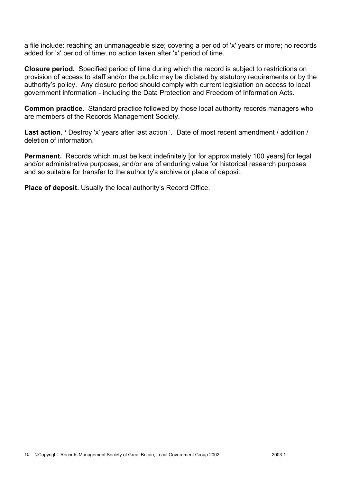a file include: reaching an unmanageable size; covering a period of 'x' years or more; no records added for 'x' period of time; no action taken after 'x' period of time.

**Closure period.** Specified period of time during which the record is subject to restrictions on provision of access to staff and/or the public may be dictated by statutory requirements or by the authority's policy. Any closure period should comply with current legislation on access to local government information - including the Data Protection and Freedom of Information Acts.

**Common practice.** Standard practice followed by those local authority records managers who are members of the Records Management Society.

Last action. ' Destroy 'x' years after last action '. Date of most recent amendment / addition / deletion of information.

**Permanent.** Records which must be kept indefinitely [or for approximately 100 years] for legal and/or administrative purposes, and/or are of enduring value for historical research purposes and so suitable for transfer to the authority's archive or place of deposit.

**Place of deposit.** Usually the local authority's Record Office.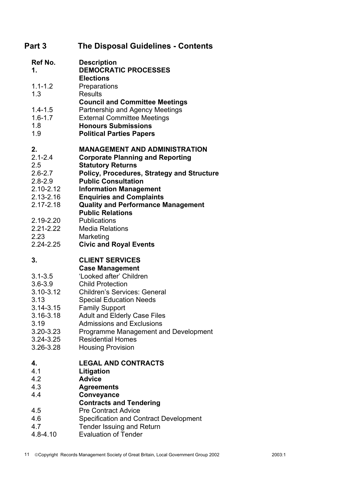| Part 3                                                                                                                                 | <b>The Disposal Guidelines - Contents</b>                                                                                                                                                                                                                                                                                                                                           |
|----------------------------------------------------------------------------------------------------------------------------------------|-------------------------------------------------------------------------------------------------------------------------------------------------------------------------------------------------------------------------------------------------------------------------------------------------------------------------------------------------------------------------------------|
| Ref No.<br>1.                                                                                                                          | <b>Description</b><br><b>DEMOCRATIC PROCESSES</b><br><b>Elections</b>                                                                                                                                                                                                                                                                                                               |
| $1.1 - 1.2$<br>1.3                                                                                                                     | Preparations<br><b>Results</b>                                                                                                                                                                                                                                                                                                                                                      |
| $1.4 - 1.5$<br>$1.6 - 1.7$<br>1.8<br>1.9                                                                                               | <b>Council and Committee Meetings</b><br>Partnership and Agency Meetings<br><b>External Committee Meetings</b><br><b>Honours Submissions</b><br><b>Political Parties Papers</b>                                                                                                                                                                                                     |
| 2.<br>$2.1 - 2.4$<br>2.5<br>$2.6 - 2.7$<br>$2.8 - 2.9$<br>$2.10 - 2.12$<br>$2.13 - 2.16$<br>2.17-2.18                                  | <b>MANAGEMENT AND ADMINISTRATION</b><br><b>Corporate Planning and Reporting</b><br><b>Statutory Returns</b><br>Policy, Procedures, Strategy and Structure<br><b>Public Consultation</b><br><b>Information Management</b><br><b>Enquiries and Complaints</b><br><b>Quality and Performance Management</b><br><b>Public Relations</b>                                                 |
| 2.19-2.20<br>2.21-2.22<br>2.23<br>2.24-2.25                                                                                            | <b>Publications</b><br><b>Media Relations</b><br>Marketing<br><b>Civic and Royal Events</b>                                                                                                                                                                                                                                                                                         |
| 3.<br>$3.1 - 3.5$<br>$3.6 - 3.9$<br>3.10-3.12<br>3.13<br>3.14-3.15<br>$3.16 - 3.18$<br>3.19<br>3.20-3.23<br>$3.24 - 3.25$<br>3.26-3.28 | <b>CLIENT SERVICES</b><br><b>Case Management</b><br>'Looked after' Children<br><b>Child Protection</b><br><b>Children's Services: General</b><br><b>Special Education Needs</b><br><b>Family Support</b><br><b>Adult and Elderly Case Files</b><br><b>Admissions and Exclusions</b><br>Programme Management and Development<br><b>Residential Homes</b><br><b>Housing Provision</b> |
| 4.<br>4.1<br>4.2<br>4.3<br>4.4<br>4.5<br>4.6<br>4.7<br>$4.8 - 4.10$                                                                    | <b>LEGAL AND CONTRACTS</b><br>Litigation<br><b>Advice</b><br><b>Agreements</b><br>Conveyance<br><b>Contracts and Tendering</b><br><b>Pre Contract Advice</b><br><b>Specification and Contract Development</b><br>Tender Issuing and Return<br><b>Evaluation of Tender</b>                                                                                                           |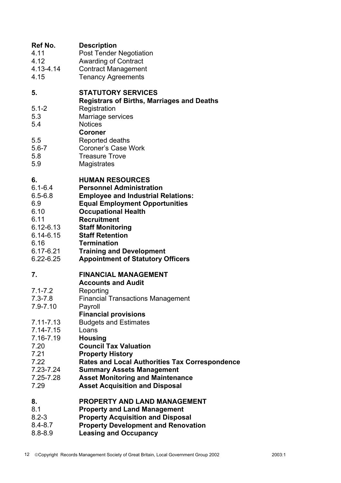| Ref No. | <b>Description</b> |
|---------|--------------------|
|         |                    |

- 4.11 Post Tender Negotiation
- 4.12 Awarding of Contract
- 4.13-4.14 Contract Management
- 4.15 Tenancy Agreements

#### **5. STATUTORY SERVICES**

 **Registrars of Births, Marriages and Deaths** 

- 5.1-2 Registration
- 5.3 Marriage services
- 5.4 Notices

 **Coroner** 

- 5.5 Reported deaths
- 5.6-7 Coroner's Case Work
- 5.8 Treasure Trove
- 5.9 Magistrates

### **6. HUMAN RESOURCES**

- 6.1-6.4 **Personnel Administration**
- 6.5-6.8 **Employee and Industrial Relations:**
- 6.9 **Equal Employment Opportunities**
- 6.10 **Occupational Health**
- 6.11 **Recruitment**
- 6.12-6.13 **Staff Monitoring**
- 6.14-6.15 **Staff Retention**
- 6.16 **Termination**
- 6.17-6.21 **Training and Development**
- 6.22-6.25 **Appointment of Statutory Officers**

#### **7. FINANCIAL MANAGEMENT**

#### **Accounts and Audit**

- 7.1-7.2 Reporting
- 7.3-7.8 Financial Transactions Management
- 7.9-7.10 Payroll
- **Financial provisions**
- 7.11-7.13 Budgets and Estimates
- 7.14-7.15 Loans
- 7.16-7.19 **Housing**
- 7.20 **Council Tax Valuation**
- 7.21 **Property History**
- 7.22 **Rates and Local Authorities Tax Correspondence**
- 7.23-7.24 **Summary Assets Management**
- 7.25-7.28 **Asset Monitoring and Maintenance**
- 7.29 **Asset Acquisition and Disposal**

#### **8. PROPERTY AND LAND MANAGEMENT**

- 8.1 **Property and Land Management**
- 8.2-3 **Property Acquisition and Disposal**
- 8.4-8.7 **Property Development and Renovation**
- 8.8-8.9 **Leasing and Occupancy**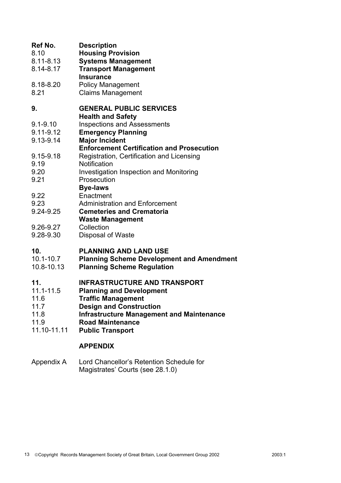| Ref No.<br>8.10<br>$8.11 - 8.13$<br>8.14-8.17                   | <b>Description</b><br><b>Housing Provision</b><br><b>Systems Management</b><br><b>Transport Management</b><br><b>Insurance</b>                                                                                                                  |
|-----------------------------------------------------------------|-------------------------------------------------------------------------------------------------------------------------------------------------------------------------------------------------------------------------------------------------|
| 8.18-8.20<br>8.21                                               | <b>Policy Management</b><br><b>Claims Management</b>                                                                                                                                                                                            |
| 9.<br>$9.1 - 9.10$                                              | <b>GENERAL PUBLIC SERVICES</b><br><b>Health and Safety</b><br><b>Inspections and Assessments</b>                                                                                                                                                |
| $9.11 - 9.12$<br>9.13-9.14                                      | <b>Emergency Planning</b><br><b>Major Incident</b><br><b>Enforcement Certification and Prosecution</b>                                                                                                                                          |
| 9.15-9.18<br>9.19<br>9.20                                       | Registration, Certification and Licensing<br>Notification<br><b>Investigation Inspection and Monitoring</b>                                                                                                                                     |
| 9.21<br>9.22                                                    | Prosecution<br><b>Bye-laws</b><br>Enactment                                                                                                                                                                                                     |
| 9.23<br>9.24-9.25                                               | <b>Administration and Enforcement</b><br><b>Cemeteries and Crematoria</b><br><b>Waste Management</b>                                                                                                                                            |
| 9.26-9.27<br>9.28-9.30                                          | Collection<br>Disposal of Waste                                                                                                                                                                                                                 |
| 10.<br>$10.1 - 10.7$<br>10.8-10.13                              | <b>PLANNING AND LAND USE</b><br><b>Planning Scheme Development and Amendment</b><br><b>Planning Scheme Regulation</b>                                                                                                                           |
| 11.<br>11.1-11.5<br>11.6<br>11.7<br>11.8<br>11.9<br>11.10-11.11 | <b>INFRASTRUCTURE AND TRANSPORT</b><br><b>Planning and Development</b><br><b>Traffic Management</b><br><b>Design and Construction</b><br><b>Infrastructure Management and Maintenance</b><br><b>Road Maintenance</b><br><b>Public Transport</b> |
|                                                                 | <b>APPENDIX</b>                                                                                                                                                                                                                                 |

Appendix A Lord Chancellor's Retention Schedule for Magistrates' Courts (see 28.1.0)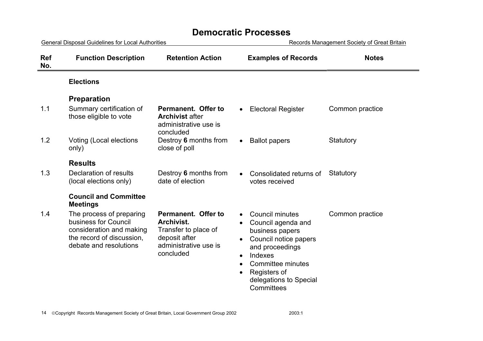### **Democratic Processes**

| <b>General Disposal Guidelines for Local Authorities</b> |                                                                                                                                     |                                                                                                                  | Records Management Society of Great Britain                                                                                                                                                                                   |                 |
|----------------------------------------------------------|-------------------------------------------------------------------------------------------------------------------------------------|------------------------------------------------------------------------------------------------------------------|-------------------------------------------------------------------------------------------------------------------------------------------------------------------------------------------------------------------------------|-----------------|
| <b>Ref</b><br>No.                                        | <b>Function Description</b>                                                                                                         | <b>Retention Action</b>                                                                                          | <b>Examples of Records</b>                                                                                                                                                                                                    | <b>Notes</b>    |
|                                                          | <b>Elections</b>                                                                                                                    |                                                                                                                  |                                                                                                                                                                                                                               |                 |
|                                                          | <b>Preparation</b>                                                                                                                  |                                                                                                                  |                                                                                                                                                                                                                               |                 |
| 1.1                                                      | Summary certification of<br>those eligible to vote                                                                                  | Permanent. Offer to<br><b>Archivist after</b><br>administrative use is<br>concluded                              | <b>Electoral Register</b>                                                                                                                                                                                                     | Common practice |
| 1.2                                                      | Voting (Local elections<br>only)                                                                                                    | Destroy 6 months from<br>close of poll                                                                           | <b>Ballot papers</b>                                                                                                                                                                                                          | Statutory       |
|                                                          | <b>Results</b>                                                                                                                      |                                                                                                                  |                                                                                                                                                                                                                               |                 |
| 1.3                                                      | Declaration of results<br>(local elections only)                                                                                    | Destroy 6 months from<br>date of election                                                                        | Consolidated returns of<br>votes received                                                                                                                                                                                     | Statutory       |
|                                                          | <b>Council and Committee</b><br><b>Meetings</b>                                                                                     |                                                                                                                  |                                                                                                                                                                                                                               |                 |
| 1.4                                                      | The process of preparing<br>business for Council<br>consideration and making<br>the record of discussion,<br>debate and resolutions | Permanent. Offer to<br>Archivist.<br>Transfer to place of<br>deposit after<br>administrative use is<br>concluded | <b>Council minutes</b><br>Council agenda and<br>business papers<br>Council notice papers<br>and proceedings<br>Indexes<br>$\bullet$<br>Committee minutes<br>$\bullet$<br>Registers of<br>delegations to Special<br>Committees | Common practice |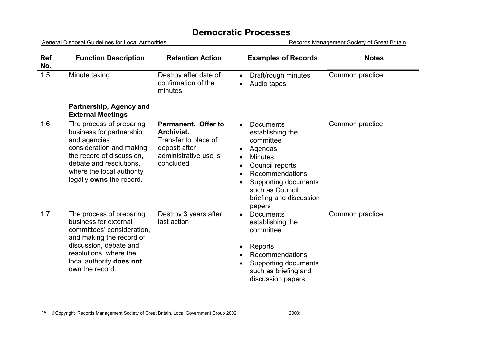### **Democratic Processes**

General Disposal Guidelines for Local Authorities **Records Management Society of Great Britain Ref No. Function Description Retention Action Examples of Records Notes**  1.5 Minute taking Destroy after date of confirmation of the minutes • Draft/rough minutes • Audio tapes Common practice **Partnership, Agency and External Meetings**  1.6 The process of preparing business for partnership and agencies consideration and making the record of discussion, debate and resolutions, where the local authority legally **owns** the record. **Permanent. Offer to Archivist.**Transfer to place of deposit after administrative use is concluded • Documents establishing the committee • Agendas **Minutes** • Council reports • Recommendations • Supporting documents such as Council briefing and discussion papers Common practice 1.7 The process of preparing business for external committees' consideration, and making the record of discussion, debate and resolutions, where the local authority **does not** own the record. Destroy **3** years after last action • Documents establishing the committee • Reports • Recommendations • Supporting documents such as briefing and discussion papers. Common practice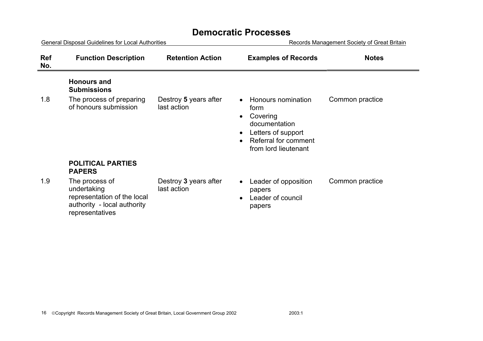| <b>General Disposal Guidelines for Local Authorities</b> |                                                                                                                |                                      | Records Management Society of Great Britain                                                                                   |                 |
|----------------------------------------------------------|----------------------------------------------------------------------------------------------------------------|--------------------------------------|-------------------------------------------------------------------------------------------------------------------------------|-----------------|
| <b>Ref</b><br>No.                                        | <b>Function Description</b>                                                                                    | <b>Retention Action</b>              | <b>Examples of Records</b>                                                                                                    | <b>Notes</b>    |
|                                                          | <b>Honours and</b><br><b>Submissions</b>                                                                       |                                      |                                                                                                                               |                 |
| 1.8                                                      | The process of preparing<br>of honours submission                                                              | Destroy 5 years after<br>last action | Honours nomination<br>form<br>Covering<br>documentation<br>Letters of support<br>Referral for comment<br>from lord lieutenant | Common practice |
|                                                          | <b>POLITICAL PARTIES</b><br><b>PAPERS</b>                                                                      |                                      |                                                                                                                               |                 |
| 1.9                                                      | The process of<br>undertaking<br>representation of the local<br>authority - local authority<br>representatives | Destroy 3 years after<br>last action | Leader of opposition<br>papers<br>Leader of council<br>papers                                                                 | Common practice |

### **Democratic Processes**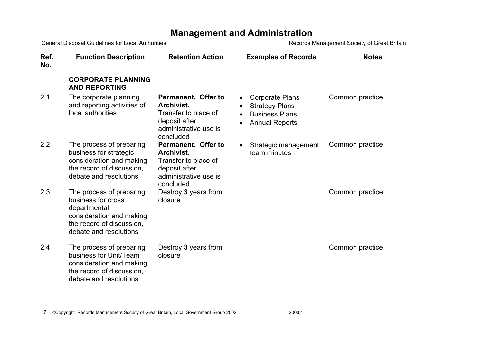| <b>General Disposal Guidelines for Local Authorities</b> |                                                                                                                                                   |                                                                                                                  | Records Management Society of Great Britain                                                                    |                 |
|----------------------------------------------------------|---------------------------------------------------------------------------------------------------------------------------------------------------|------------------------------------------------------------------------------------------------------------------|----------------------------------------------------------------------------------------------------------------|-----------------|
| Ref.<br>No.                                              | <b>Function Description</b>                                                                                                                       | <b>Retention Action</b>                                                                                          | <b>Examples of Records</b>                                                                                     | <b>Notes</b>    |
|                                                          | <b>CORPORATE PLANNING</b><br><b>AND REPORTING</b>                                                                                                 |                                                                                                                  |                                                                                                                |                 |
| 2.1                                                      | The corporate planning<br>and reporting activities of<br>local authorities                                                                        | Permanent. Offer to<br>Archivist.<br>Transfer to place of<br>deposit after<br>administrative use is<br>concluded | <b>Corporate Plans</b><br><b>Strategy Plans</b><br><b>Business Plans</b><br><b>Annual Reports</b><br>$\bullet$ | Common practice |
| 2.2                                                      | The process of preparing<br>business for strategic<br>consideration and making<br>the record of discussion,<br>debate and resolutions             | Permanent. Offer to<br>Archivist.<br>Transfer to place of<br>deposit after<br>administrative use is<br>concluded | Strategic management<br>$\bullet$<br>team minutes                                                              | Common practice |
| 2.3                                                      | The process of preparing<br>business for cross<br>departmental<br>consideration and making<br>the record of discussion,<br>debate and resolutions | Destroy 3 years from<br>closure                                                                                  |                                                                                                                | Common practice |
| 2.4                                                      | The process of preparing<br>business for Unit/Team<br>consideration and making<br>the record of discussion,<br>debate and resolutions             | Destroy 3 years from<br>closure                                                                                  |                                                                                                                | Common practice |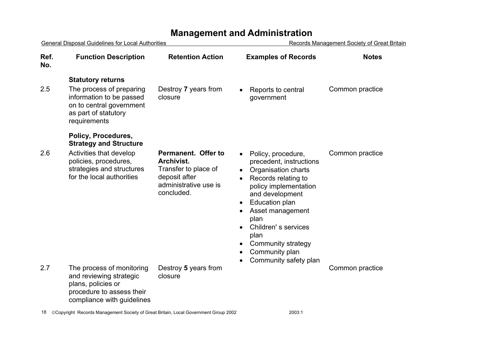|             | <b>General Disposal Guidelines for Local Authorities</b>                                                                              |                                                                                                                   | <b>Records Management Society of Great Britain</b>                                                                                                                                                                                                                                           |                 |
|-------------|---------------------------------------------------------------------------------------------------------------------------------------|-------------------------------------------------------------------------------------------------------------------|----------------------------------------------------------------------------------------------------------------------------------------------------------------------------------------------------------------------------------------------------------------------------------------------|-----------------|
| Ref.<br>No. | <b>Function Description</b>                                                                                                           | <b>Retention Action</b>                                                                                           | <b>Examples of Records</b>                                                                                                                                                                                                                                                                   | <b>Notes</b>    |
|             | <b>Statutory returns</b>                                                                                                              |                                                                                                                   |                                                                                                                                                                                                                                                                                              |                 |
| 2.5         | The process of preparing<br>information to be passed<br>on to central government<br>as part of statutory<br>requirements              | Destroy 7 years from<br>closure                                                                                   | Reports to central<br>government                                                                                                                                                                                                                                                             | Common practice |
|             | Policy, Procedures,<br><b>Strategy and Structure</b>                                                                                  |                                                                                                                   |                                                                                                                                                                                                                                                                                              |                 |
| 2.6         | Activities that develop<br>policies, procedures,<br>strategies and structures<br>for the local authorities                            | Permanent. Offer to<br>Archivist.<br>Transfer to place of<br>deposit after<br>administrative use is<br>concluded. | Policy, procedure,<br>precedent, instructions<br>Organisation charts<br>Records relating to<br>policy implementation<br>and development<br><b>Education plan</b><br>Asset management<br>plan<br>Children's services<br>plan<br>Community strategy<br>Community plan<br>Community safety plan | Common practice |
| 2.7         | The process of monitoring<br>and reviewing strategic<br>plans, policies or<br>procedure to assess their<br>compliance with guidelines | Destroy 5 years from<br>closure                                                                                   |                                                                                                                                                                                                                                                                                              | Common practice |
|             |                                                                                                                                       |                                                                                                                   |                                                                                                                                                                                                                                                                                              |                 |

18 © Copyright Records Management Society of Great Britain, Local Government Group 2002 2003:1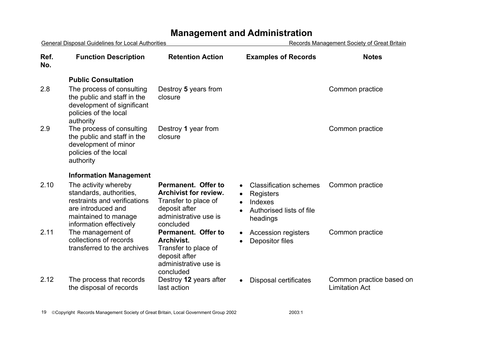| General Disposal Guidelines for Local Authorities |                                                                                                                                                          |                                                                                                                                    | Records Management Society of Great Britain                                                   |                                                   |
|---------------------------------------------------|----------------------------------------------------------------------------------------------------------------------------------------------------------|------------------------------------------------------------------------------------------------------------------------------------|-----------------------------------------------------------------------------------------------|---------------------------------------------------|
| Ref.<br>No.                                       | <b>Function Description</b>                                                                                                                              | <b>Retention Action</b>                                                                                                            | <b>Examples of Records</b>                                                                    | <b>Notes</b>                                      |
|                                                   | <b>Public Consultation</b>                                                                                                                               |                                                                                                                                    |                                                                                               |                                                   |
| 2.8                                               | The process of consulting<br>the public and staff in the<br>development of significant<br>policies of the local<br>authority                             | Destroy 5 years from<br>closure                                                                                                    |                                                                                               | Common practice                                   |
| 2.9                                               | The process of consulting<br>the public and staff in the<br>development of minor<br>policies of the local<br>authority                                   | Destroy 1 year from<br>closure                                                                                                     |                                                                                               | Common practice                                   |
|                                                   | <b>Information Management</b>                                                                                                                            |                                                                                                                                    |                                                                                               |                                                   |
| 2.10                                              | The activity whereby<br>standards, authorities,<br>restraints and verifications<br>are introduced and<br>maintained to manage<br>information effectively | Permanent. Offer to<br><b>Archivist for review.</b><br>Transfer to place of<br>deposit after<br>administrative use is<br>concluded | <b>Classification schemes</b><br>Registers<br>Indexes<br>Authorised lists of file<br>headings | Common practice                                   |
| 2.11                                              | The management of<br>collections of records<br>transferred to the archives                                                                               | Permanent. Offer to<br>Archivist.<br>Transfer to place of<br>deposit after<br>administrative use is<br>concluded                   | <b>Accession registers</b><br>Depositor files                                                 | Common practice                                   |
| 2.12                                              | The process that records<br>the disposal of records                                                                                                      | Destroy 12 years after<br>last action                                                                                              | Disposal certificates                                                                         | Common practice based on<br><b>Limitation Act</b> |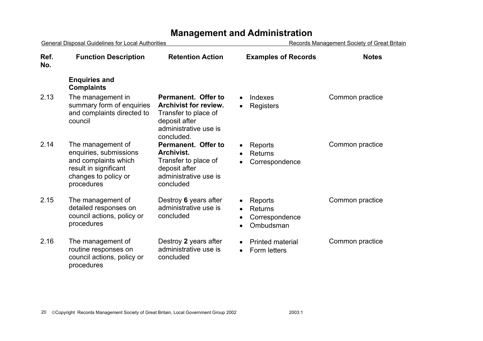| General Disposal Guidelines for Local Authorities |                                                                                                                                    |                                                                                                                                     | <b>Records Management Society of Great Britain</b>                |                 |
|---------------------------------------------------|------------------------------------------------------------------------------------------------------------------------------------|-------------------------------------------------------------------------------------------------------------------------------------|-------------------------------------------------------------------|-----------------|
| Ref.<br>No.                                       | <b>Function Description</b>                                                                                                        | <b>Retention Action</b>                                                                                                             | <b>Examples of Records</b>                                        | <b>Notes</b>    |
|                                                   | <b>Enquiries and</b><br><b>Complaints</b>                                                                                          |                                                                                                                                     |                                                                   |                 |
| 2.13                                              | The management in<br>summary form of enquiries<br>and complaints directed to<br>council                                            | Permanent. Offer to<br><b>Archivist for review.</b><br>Transfer to place of<br>deposit after<br>administrative use is<br>concluded. | Indexes<br>$\bullet$<br>Registers<br>$\bullet$                    | Common practice |
| 2.14                                              | The management of<br>enquiries, submissions<br>and complaints which<br>result in significant<br>changes to policy or<br>procedures | Permanent. Offer to<br>Archivist.<br>Transfer to place of<br>deposit after<br>administrative use is<br>concluded                    | Reports<br><b>Returns</b><br>Correspondence                       | Common practice |
| 2.15                                              | The management of<br>detailed responses on<br>council actions, policy or<br>procedures                                             | Destroy 6 years after<br>administrative use is<br>concluded                                                                         | Reports<br><b>Returns</b><br>Correspondence<br>Ombudsman          | Common practice |
| 2.16                                              | The management of<br>routine responses on<br>council actions, policy or<br>procedures                                              | Destroy 2 years after<br>administrative use is<br>concluded                                                                         | <b>Printed material</b><br>$\bullet$<br>Form letters<br>$\bullet$ | Common practice |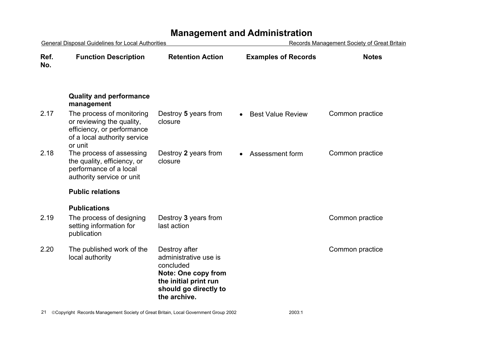| General Disposal Guidelines for Local Authorities |                                                                                                                                 | Records Management Society of Great Britain                                                                                                         |                              |                 |
|---------------------------------------------------|---------------------------------------------------------------------------------------------------------------------------------|-----------------------------------------------------------------------------------------------------------------------------------------------------|------------------------------|-----------------|
| Ref.<br>No.                                       | <b>Function Description</b>                                                                                                     | <b>Retention Action</b>                                                                                                                             | <b>Examples of Records</b>   | <b>Notes</b>    |
|                                                   | <b>Quality and performance</b><br>management                                                                                    |                                                                                                                                                     |                              |                 |
| 2.17                                              | The process of monitoring<br>or reviewing the quality,<br>efficiency, or performance<br>of a local authority service<br>or unit | Destroy 5 years from<br>closure                                                                                                                     | <b>Best Value Review</b>     | Common practice |
| 2.18                                              | The process of assessing<br>the quality, efficiency, or<br>performance of a local<br>authority service or unit                  | Destroy 2 years from<br>closure                                                                                                                     | Assessment form<br>$\bullet$ | Common practice |
|                                                   | <b>Public relations</b>                                                                                                         |                                                                                                                                                     |                              |                 |
|                                                   | <b>Publications</b>                                                                                                             |                                                                                                                                                     |                              |                 |
| 2.19                                              | The process of designing<br>setting information for<br>publication                                                              | Destroy 3 years from<br>last action                                                                                                                 |                              | Common practice |
| 2.20                                              | The published work of the<br>local authority                                                                                    | Destroy after<br>administrative use is<br>concluded<br><b>Note: One copy from</b><br>the initial print run<br>should go directly to<br>the archive. |                              | Common practice |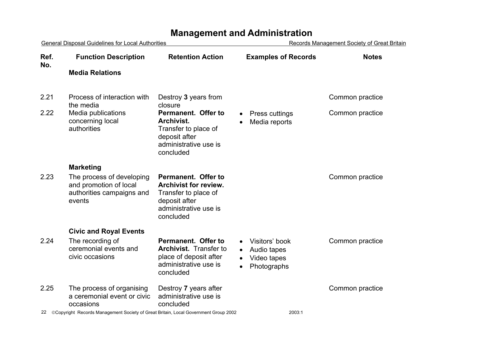#### General Disposal Guidelines for Local Authorities **Records Management Society of Great Britain** 22 Copyright Records Management Society of Great Britain, Local Government Group 2002 2003:1 **Ref. No.Function Description Retention Action Examples of Records Notes Media Relations** 2.21 Process of interaction with the media Destroy **3** years from closure Common practice 2.22 Media publications concerning local authorities **Permanent. Offer to Archivist.** Transfer to place of deposit after administrative use is concluded • Press cuttings • Media reports Common practice **Marketing**  2.23 The process of developing and promotion of local authorities campaigns and events **Permanent. Offer to Archivist for review.**Transfer to place of deposit after administrative use is concluded Common practice **Civic and Royal Events**  2.24 The recording of ceremonial events and civic occasions **Permanent. Offer to Archivist.** Transfer to place of deposit after administrative use is concluded • Visitors' book • Audio tapes • Video tapes • Photographs Common practice 2.25 The process of organising a ceremonial event or civic occasions Destroy **7** years after administrative use is concluded Common practice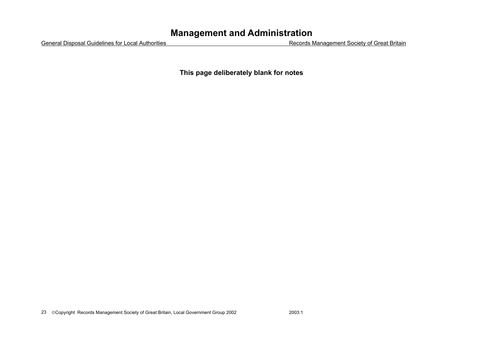General Disposal Guidelines for Local Authorities Records Management Society of Great Britain

**This page deliberately blank for notes**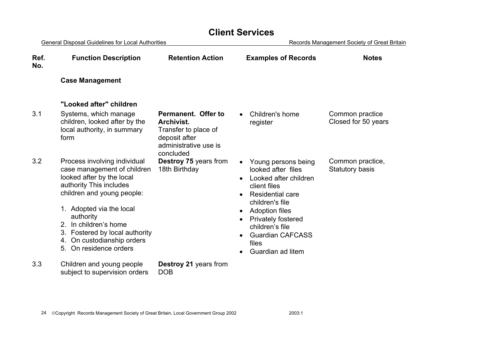#### General Disposal Guidelines for Local Authorities **Records Management Society of Great Britain Ref. No.Function Description Retention Action Examples of Records Notes Case Management "Looked after" children** 3.1 Systems, which manage children, looked after by the local authority, in summary form **Permanent. Offer to Archivist.**Transfer to place of deposit after administrative use is concluded• Children's home register Common practice Closed for 50 years 3.2 Process involving individual case management of children looked after by the local authority This includes children and young people: 1. Adopted via the local authority 2. In children's home 3. Fostered by local authority 4. On custodianship orders 5. On residence orders **Destroy 75** years from 18th Birthday • Young persons being looked after files • Looked after children client files • Residential care children's file • Adoption files • Privately fostered children's file • Guardian CAFCASS files • Guardian ad litem Common practice, Statutory basis 3.3 Children and young people subject to supervision orders **Destroy 21** years from DOB

**Client Services**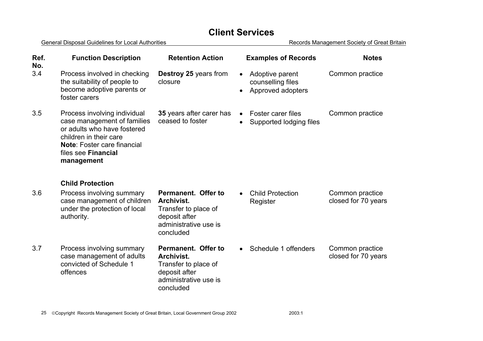| Ref.<br>No. | <b>Function Description</b>                                                                                                                                                                     | <b>Retention Action</b>                                                                                          | <b>Examples of Records</b>                                                          | <b>Notes</b>                           |
|-------------|-------------------------------------------------------------------------------------------------------------------------------------------------------------------------------------------------|------------------------------------------------------------------------------------------------------------------|-------------------------------------------------------------------------------------|----------------------------------------|
| 3.4         | Process involved in checking<br>the suitability of people to<br>become adoptive parents or<br>foster carers                                                                                     | <b>Destroy 25 years from</b><br>closure                                                                          | Adoptive parent<br>$\bullet$<br>counselling files<br>Approved adopters<br>$\bullet$ | Common practice                        |
| 3.5         | Process involving individual<br>case management of families<br>or adults who have fostered<br>children in their care<br>Note: Foster care financial<br>files see <b>Financial</b><br>management | 35 years after carer has<br>ceased to foster                                                                     | <b>Foster carer files</b><br>$\bullet$<br>Supported lodging files<br>$\bullet$      | Common practice                        |
|             | <b>Child Protection</b>                                                                                                                                                                         |                                                                                                                  |                                                                                     |                                        |
| 3.6         | Process involving summary<br>case management of children<br>under the protection of local<br>authority.                                                                                         | Permanent. Offer to<br>Archivist.<br>Transfer to place of<br>deposit after<br>administrative use is<br>concluded | <b>Child Protection</b><br>$\bullet$<br>Register                                    | Common practice<br>closed for 70 years |
| 3.7         | Process involving summary<br>case management of adults<br>convicted of Schedule 1<br>offences                                                                                                   | Permanent. Offer to<br>Archivist.<br>Transfer to place of<br>deposit after<br>administrative use is<br>concluded | Schedule 1 offenders<br>$\bullet$                                                   | Common practice<br>closed for 70 years |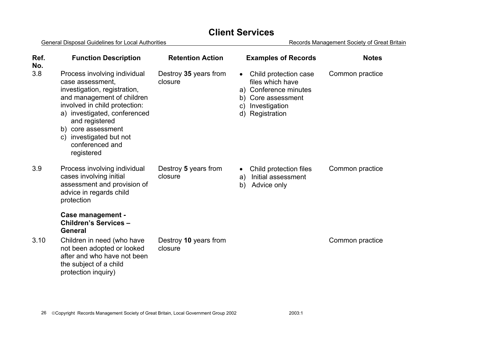| Ref.<br>No. | <b>Function Description</b>                                                                                                                                                                                                                                                                      | <b>Retention Action</b>          | <b>Examples of Records</b>                                                                                                                                | <b>Notes</b>    |
|-------------|--------------------------------------------------------------------------------------------------------------------------------------------------------------------------------------------------------------------------------------------------------------------------------------------------|----------------------------------|-----------------------------------------------------------------------------------------------------------------------------------------------------------|-----------------|
| 3.8         | Process involving individual<br>case assessment.<br>investigation, registration,<br>and management of children<br>involved in child protection:<br>a) investigated, conferenced<br>and registered<br>b) core assessment<br>investigated but not<br>$\mathsf{C}$<br>conferenced and<br>registered | Destroy 35 years from<br>closure | Child protection case<br>$\bullet$<br>files which have<br>a) Conference minutes<br>b) Core assessment<br>Investigation<br>$\mathsf{C}$<br>d) Registration | Common practice |
| 3.9         | Process involving individual<br>cases involving initial<br>assessment and provision of<br>advice in regards child<br>protection                                                                                                                                                                  | Destroy 5 years from<br>closure  | Child protection files<br>$\bullet$<br>Initial assessment<br>a)<br>b)<br>Advice only                                                                      | Common practice |
|             | Case management -<br>Children's Services -<br><b>General</b>                                                                                                                                                                                                                                     |                                  |                                                                                                                                                           |                 |
| 3.10        | Children in need (who have<br>not been adopted or looked<br>after and who have not been<br>the subject of a child<br>protection inquiry)                                                                                                                                                         | Destroy 10 years from<br>closure |                                                                                                                                                           | Common practice |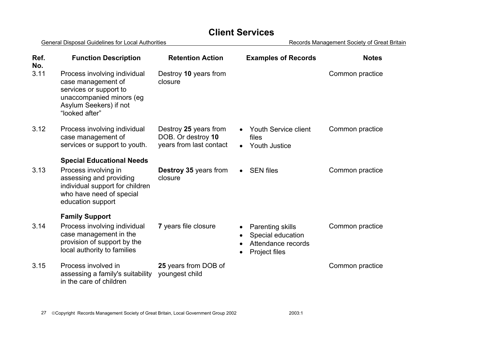| Ref.<br>No. | <b>Function Description</b>                                                                                                                                             | <b>Retention Action</b>                                                | <b>Examples of Records</b>                                                          | <b>Notes</b>    |
|-------------|-------------------------------------------------------------------------------------------------------------------------------------------------------------------------|------------------------------------------------------------------------|-------------------------------------------------------------------------------------|-----------------|
| 3.11        | Process involving individual<br>case management of<br>services or support to<br>unaccompanied minors (eg<br>Asylum Seekers) if not<br>"looked after"                    | Destroy 10 years from<br>closure                                       |                                                                                     | Common practice |
| 3.12        | Process involving individual<br>case management of<br>services or support to youth.                                                                                     | Destroy 25 years from<br>DOB. Or destroy 10<br>years from last contact | Youth Service client<br>files<br><b>Youth Justice</b><br>$\bullet$                  | Common practice |
| 3.13        | <b>Special Educational Needs</b><br>Process involving in<br>assessing and providing<br>individual support for children<br>who have need of special<br>education support | <b>Destroy 35 years from</b><br>closure                                | $\bullet$ SEN files                                                                 | Common practice |
| 3.14        | <b>Family Support</b><br>Process involving individual<br>case management in the<br>provision of support by the<br>local authority to families                           | 7 years file closure                                                   | <b>Parenting skills</b><br>Special education<br>Attendance records<br>Project files | Common practice |
| 3.15        | Process involved in<br>assessing a family's suitability<br>in the care of children                                                                                      | 25 years from DOB of<br>youngest child                                 |                                                                                     | Common practice |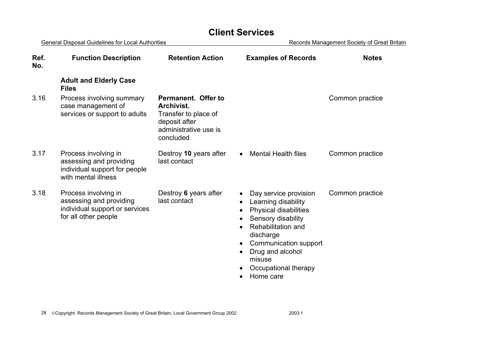General Disposal Guidelines for Local Authorities **Records Management Society of Great Britain Ref. No.Function Description Retention Action Examples of Records Notes Adult and Elderly Case Files** 3.16 Process involving summary case management of services or support to adults **Permanent. Offer to Archivist.**Transfer to place of deposit after administrative use is concluded Common practice 3.17 Process involving in assessing and providing individual support for people with mental illness Destroy **10** years after last contact • Mental Health files Common practice 3.18 Process involving in assessing and providing individual support or services for all other people Destroy **6** years after last contact• Day service provision • Learning disability • Physical disabilities • Sensory disability • Rehabilitation and discharge • Communication support • Drug and alcohol misuse • Occupational therapy • Home care Common practice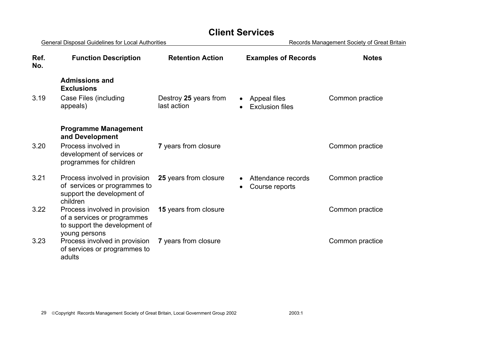|             | General Disposal Guidelines for Local Authorities                                                              |                                      | Records Management Society of Great Britain |                 |  |
|-------------|----------------------------------------------------------------------------------------------------------------|--------------------------------------|---------------------------------------------|-----------------|--|
| Ref.<br>No. | <b>Function Description</b>                                                                                    | <b>Retention Action</b>              | <b>Examples of Records</b>                  | <b>Notes</b>    |  |
|             | <b>Admissions and</b><br><b>Exclusions</b>                                                                     |                                      |                                             |                 |  |
| 3.19        | Case Files (including<br>appeals)                                                                              | Destroy 25 years from<br>last action | Appeal files<br><b>Exclusion files</b>      | Common practice |  |
|             | <b>Programme Management</b><br>and Development                                                                 |                                      |                                             |                 |  |
| 3.20        | Process involved in<br>development of services or<br>programmes for children                                   | 7 years from closure                 |                                             | Common practice |  |
| 3.21        | Process involved in provision<br>of services or programmes to<br>support the development of<br>children        | 25 years from closure                | Attendance records<br>Course reports        | Common practice |  |
| 3.22        | Process involved in provision<br>of a services or programmes<br>to support the development of<br>young persons | 15 years from closure                |                                             | Common practice |  |
| 3.23        | Process involved in provision<br>of services or programmes to<br>adults                                        | 7 years from closure                 |                                             | Common practice |  |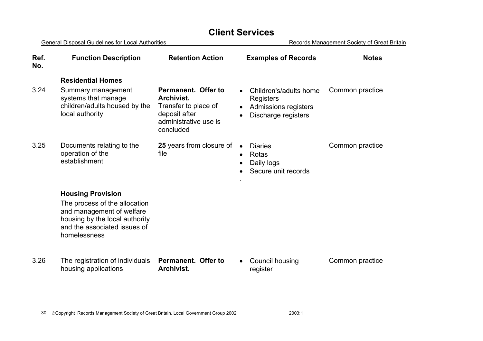| <b>General Disposal Guidelines for Local Authorities</b> |                                                                                                                                                                          |                                                                                                                  |           | Records Management Society of Great Britain                                        |                 |  |
|----------------------------------------------------------|--------------------------------------------------------------------------------------------------------------------------------------------------------------------------|------------------------------------------------------------------------------------------------------------------|-----------|------------------------------------------------------------------------------------|-----------------|--|
| Ref.<br>No.                                              | <b>Function Description</b>                                                                                                                                              | <b>Retention Action</b>                                                                                          |           | <b>Examples of Records</b>                                                         | <b>Notes</b>    |  |
|                                                          | <b>Residential Homes</b>                                                                                                                                                 |                                                                                                                  |           |                                                                                    |                 |  |
| 3.24                                                     | Summary management<br>systems that manage<br>children/adults housed by the<br>local authority                                                                            | Permanent. Offer to<br>Archivist.<br>Transfer to place of<br>deposit after<br>administrative use is<br>concluded |           | Children's/adults home<br>Registers<br>Admissions registers<br>Discharge registers | Common practice |  |
| 3.25                                                     | Documents relating to the<br>operation of the<br>establishment                                                                                                           | 25 years from closure of<br>file                                                                                 | $\bullet$ | <b>Diaries</b><br>Rotas<br>Daily logs<br>Secure unit records                       | Common practice |  |
|                                                          | <b>Housing Provision</b><br>The process of the allocation<br>and management of welfare<br>housing by the local authority<br>and the associated issues of<br>homelessness |                                                                                                                  |           |                                                                                    |                 |  |
| 3.26                                                     | The registration of individuals<br>housing applications                                                                                                                  | Permanent. Offer to<br>Archivist.                                                                                |           | Council housing<br>register                                                        | Common practice |  |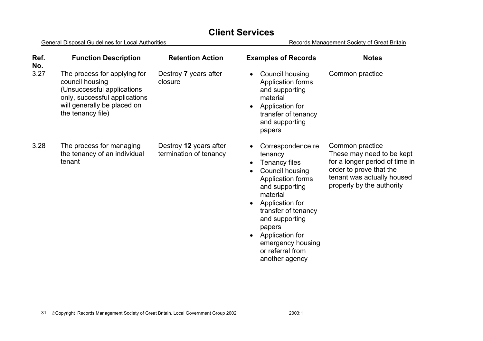| Ref.<br>No. | <b>Function Description</b>                                                                                                                                        | <b>Retention Action</b>                          | <b>Examples of Records</b>                                                                                                                                                                                                                                              | <b>Notes</b>                                                                                                                                                         |
|-------------|--------------------------------------------------------------------------------------------------------------------------------------------------------------------|--------------------------------------------------|-------------------------------------------------------------------------------------------------------------------------------------------------------------------------------------------------------------------------------------------------------------------------|----------------------------------------------------------------------------------------------------------------------------------------------------------------------|
| 3.27        | The process for applying for<br>council housing<br>(Unsuccessful applications<br>only, successful applications<br>will generally be placed on<br>the tenancy file) | Destroy 7 years after<br>closure                 | Council housing<br>Application forms<br>and supporting<br>material<br>Application for<br>transfer of tenancy<br>and supporting<br>papers                                                                                                                                | Common practice                                                                                                                                                      |
| 3.28        | The process for managing<br>the tenancy of an individual<br>tenant                                                                                                 | Destroy 12 years after<br>termination of tenancy | Correspondence re<br>tenancy<br>Tenancy files<br>Council housing<br>Application forms<br>and supporting<br>material<br>Application for<br>transfer of tenancy<br>and supporting<br>papers<br>Application for<br>emergency housing<br>or referral from<br>another agency | Common practice<br>These may need to be kept<br>for a longer period of time in<br>order to prove that the<br>tenant was actually housed<br>properly by the authority |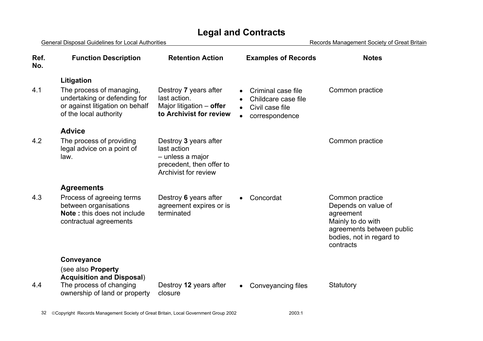| <b>General Disposal Guidelines for Local Authorities</b> |                                                                                                                       |                                                                                                                     | Records Management Society of Great Britain                                    |                                                                                                                                                |  |
|----------------------------------------------------------|-----------------------------------------------------------------------------------------------------------------------|---------------------------------------------------------------------------------------------------------------------|--------------------------------------------------------------------------------|------------------------------------------------------------------------------------------------------------------------------------------------|--|
| Ref.<br>No.                                              | <b>Function Description</b>                                                                                           | <b>Retention Action</b>                                                                                             | <b>Examples of Records</b>                                                     | <b>Notes</b>                                                                                                                                   |  |
|                                                          | Litigation                                                                                                            |                                                                                                                     |                                                                                |                                                                                                                                                |  |
| 4.1                                                      | The process of managing,<br>undertaking or defending for<br>or against litigation on behalf<br>of the local authority | Destroy 7 years after<br>last action.<br>Major litigation - offer<br>to Archivist for review                        | Criminal case file<br>Childcare case file<br>Civil case file<br>correspondence | Common practice                                                                                                                                |  |
|                                                          | <b>Advice</b>                                                                                                         |                                                                                                                     |                                                                                |                                                                                                                                                |  |
| 4.2                                                      | The process of providing<br>legal advice on a point of<br>law.                                                        | Destroy 3 years after<br>last action<br>- unless a major<br>precedent, then offer to<br><b>Archivist for review</b> |                                                                                | Common practice                                                                                                                                |  |
|                                                          | <b>Agreements</b>                                                                                                     |                                                                                                                     |                                                                                |                                                                                                                                                |  |
| 4.3                                                      | Process of agreeing terms<br>between organisations<br><b>Note:</b> this does not include<br>contractual agreements    | Destroy 6 years after<br>agreement expires or is<br>terminated                                                      | Concordat                                                                      | Common practice<br>Depends on value of<br>agreement<br>Mainly to do with<br>agreements between public<br>bodies, not in regard to<br>contracts |  |
|                                                          | Conveyance                                                                                                            |                                                                                                                     |                                                                                |                                                                                                                                                |  |
| 4.4                                                      | (see also Property<br><b>Acquisition and Disposal)</b><br>The process of changing<br>ownership of land or property    | Destroy 12 years after<br>closure                                                                                   | Conveyancing files<br>$\bullet$                                                | Statutory                                                                                                                                      |  |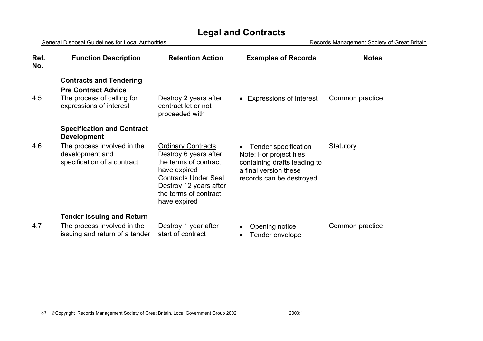| <b>General Disposal Guidelines for Local Authorities</b> |                                                                                                                                          |                                                                                                                                                      | Records Management Society of Great Britain                                                                                           |                 |  |
|----------------------------------------------------------|------------------------------------------------------------------------------------------------------------------------------------------|------------------------------------------------------------------------------------------------------------------------------------------------------|---------------------------------------------------------------------------------------------------------------------------------------|-----------------|--|
| Ref.<br>No.                                              | <b>Function Description</b>                                                                                                              | <b>Retention Action</b>                                                                                                                              | <b>Examples of Records</b>                                                                                                            | <b>Notes</b>    |  |
| 4.5                                                      | <b>Contracts and Tendering</b><br><b>Pre Contract Advice</b><br>The process of calling for<br>expressions of interest                    | Destroy 2 years after<br>contract let or not<br>proceeded with                                                                                       | • Expressions of Interest                                                                                                             | Common practice |  |
| 4.6                                                      | <b>Specification and Contract</b><br><b>Development</b><br>The process involved in the<br>development and<br>specification of a contract | <b>Ordinary Contracts</b><br>Destroy 6 years after<br>the terms of contract<br>have expired<br><b>Contracts Under Seal</b><br>Destroy 12 years after | Tender specification<br>Note: For project files<br>containing drafts leading to<br>a final version these<br>records can be destroyed. | Statutory       |  |

**Tender Issuing and Return** 

4.7 The process involved in the issuing and return of a tender start of contract

Destroy 1 year after

the terms of contract

have expired

• Opening notice • Tender envelope Common practice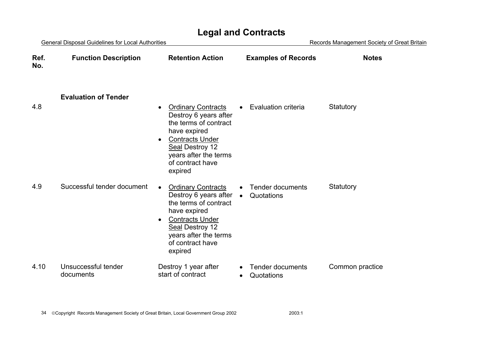| General Disposal Guidelines for Local Authorities |                                  |                                                                                                                                                                                                                            | Records Management Society of Great Britain        |                 |  |
|---------------------------------------------------|----------------------------------|----------------------------------------------------------------------------------------------------------------------------------------------------------------------------------------------------------------------------|----------------------------------------------------|-----------------|--|
| Ref.<br>No.                                       | <b>Function Description</b>      | <b>Retention Action</b>                                                                                                                                                                                                    | <b>Examples of Records</b>                         | <b>Notes</b>    |  |
| 4.8                                               | <b>Evaluation of Tender</b>      | <b>Ordinary Contracts</b><br>$\bullet$<br>Destroy 6 years after                                                                                                                                                            | <b>Evaluation criteria</b>                         | Statutory       |  |
|                                                   |                                  | the terms of contract<br>have expired<br><b>Contracts Under</b><br>$\bullet$<br>Seal Destroy 12<br>years after the terms<br>of contract have<br>expired                                                                    |                                                    |                 |  |
| 4.9                                               | Successful tender document       | <b>Ordinary Contracts</b><br>$\bullet$<br>Destroy 6 years after<br>the terms of contract<br>have expired<br><b>Contracts Under</b><br>$\bullet$<br>Seal Destroy 12<br>years after the terms<br>of contract have<br>expired | <b>Tender documents</b><br>Quotations<br>$\bullet$ | Statutory       |  |
| 4.10                                              | Unsuccessful tender<br>documents | Destroy 1 year after<br>start of contract                                                                                                                                                                                  | <b>Tender documents</b><br>Quotations              | Common practice |  |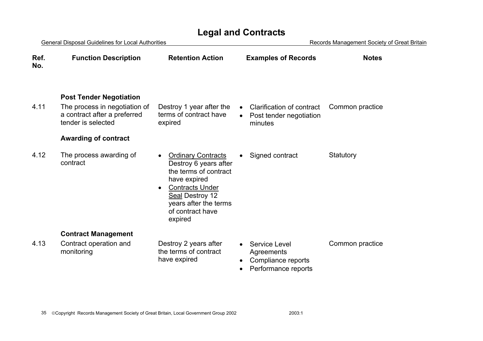| <b>General Disposal Guidelines for Local Authorities</b> |                                                                                                                                                      |                                                                                                                                                                                                                            | Records Management Society of Great Britain                                                  |                 |  |
|----------------------------------------------------------|------------------------------------------------------------------------------------------------------------------------------------------------------|----------------------------------------------------------------------------------------------------------------------------------------------------------------------------------------------------------------------------|----------------------------------------------------------------------------------------------|-----------------|--|
| Ref.<br>No.                                              | <b>Function Description</b>                                                                                                                          | <b>Retention Action</b>                                                                                                                                                                                                    | <b>Examples of Records</b>                                                                   | <b>Notes</b>    |  |
| 4.11                                                     | <b>Post Tender Negotiation</b><br>The process in negotiation of<br>a contract after a preferred<br>tender is selected<br><b>Awarding of contract</b> | Destroy 1 year after the<br>terms of contract have<br>expired                                                                                                                                                              | Clarification of contract<br>$\bullet$<br>Post tender negotiation<br>minutes                 | Common practice |  |
| 4.12                                                     | The process awarding of<br>contract                                                                                                                  | <b>Ordinary Contracts</b><br>$\bullet$<br>Destroy 6 years after<br>the terms of contract<br>have expired<br><b>Contracts Under</b><br>$\bullet$<br>Seal Destroy 12<br>years after the terms<br>of contract have<br>expired | Signed contract                                                                              | Statutory       |  |
|                                                          | <b>Contract Management</b>                                                                                                                           |                                                                                                                                                                                                                            |                                                                                              |                 |  |
| 4.13                                                     | Contract operation and<br>monitoring                                                                                                                 | Destroy 2 years after<br>the terms of contract<br>have expired                                                                                                                                                             | <b>Service Level</b><br>Agreements<br>Compliance reports<br>Performance reports<br>$\bullet$ | Common practice |  |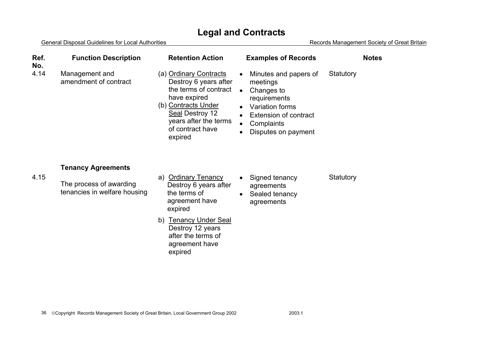| Ref.<br>No. | <b>Function Description</b>                             | <b>Retention Action</b>                                                                                                                                                                    | <b>Examples of Records</b>                                                                                                                                                                                  | <b>Notes</b> |
|-------------|---------------------------------------------------------|--------------------------------------------------------------------------------------------------------------------------------------------------------------------------------------------|-------------------------------------------------------------------------------------------------------------------------------------------------------------------------------------------------------------|--------------|
| 4.14        | Management and<br>amendment of contract                 | (a) Ordinary Contracts<br>Destroy 6 years after<br>the terms of contract<br>have expired<br>(b) Contracts Under<br>Seal Destroy 12<br>years after the terms<br>of contract have<br>expired | Minutes and papers of<br>$\bullet$<br>meetings<br>Changes to<br>$\bullet$<br>requirements<br>Variation forms<br>$\bullet$<br><b>Extension of contract</b><br>$\bullet$<br>Complaints<br>Disputes on payment | Statutory    |
|             | <b>Tenancy Agreements</b>                               |                                                                                                                                                                                            |                                                                                                                                                                                                             |              |
| 4.15        | The process of awarding<br>tenancies in welfare housing | <b>Ordinary Tenancy</b><br>a)<br>Destroy 6 years after<br>the terms of<br>agreement have<br>expired                                                                                        | Signed tenancy<br>$\bullet$<br>agreements<br>Sealed tenancy<br>$\bullet$<br>agreements                                                                                                                      | Statutory    |
|             |                                                         | b) Tenancy Under Seal<br>Destroy 12 years<br>after the terms of<br>agreement have<br>expired                                                                                               |                                                                                                                                                                                                             |              |
|             |                                                         |                                                                                                                                                                                            |                                                                                                                                                                                                             |              |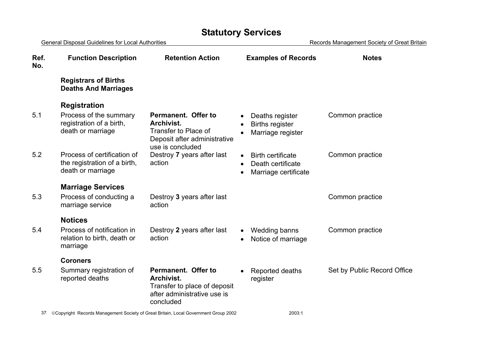# **Statutory Services**

| <b>General Disposal Guidelines for Local Authorities</b> |                                                                                  |                                                                                                               | Records Management Society of Great Britain                           |                             |  |
|----------------------------------------------------------|----------------------------------------------------------------------------------|---------------------------------------------------------------------------------------------------------------|-----------------------------------------------------------------------|-----------------------------|--|
| Ref.<br>No.                                              | <b>Function Description</b>                                                      | <b>Retention Action</b>                                                                                       | <b>Examples of Records</b>                                            | <b>Notes</b>                |  |
|                                                          | <b>Registrars of Births</b><br><b>Deaths And Marriages</b>                       |                                                                                                               |                                                                       |                             |  |
|                                                          | <b>Registration</b>                                                              |                                                                                                               |                                                                       |                             |  |
| 5.1                                                      | Process of the summary<br>registration of a birth,<br>death or marriage          | Permanent. Offer to<br>Archivist.<br>Transfer to Place of<br>Deposit after administrative<br>use is concluded | Deaths register<br><b>Births register</b><br>Marriage register        | Common practice             |  |
| 5.2                                                      | Process of certification of<br>the registration of a birth,<br>death or marriage | Destroy 7 years after last<br>action                                                                          | <b>Birth certificate</b><br>Death certificate<br>Marriage certificate | Common practice             |  |
|                                                          | <b>Marriage Services</b>                                                         |                                                                                                               |                                                                       |                             |  |
| 5.3                                                      | Process of conducting a<br>marriage service                                      | Destroy 3 years after last<br>action                                                                          |                                                                       | Common practice             |  |
|                                                          | <b>Notices</b>                                                                   |                                                                                                               |                                                                       |                             |  |
| 5.4                                                      | Process of notification in<br>relation to birth, death or<br>marriage            | Destroy 2 years after last<br>action                                                                          | <b>Wedding banns</b><br>Notice of marriage                            | Common practice             |  |
|                                                          | <b>Coroners</b>                                                                  |                                                                                                               |                                                                       |                             |  |
| 5.5                                                      | Summary registration of<br>reported deaths                                       | Permanent. Offer to<br>Archivist.<br>Transfer to place of deposit<br>after administrative use is<br>concluded | Reported deaths<br>register                                           | Set by Public Record Office |  |
| 37                                                       |                                                                                  | ©Copyright Records Management Society of Great Britain, Local Government Group 2002                           | 2003:1                                                                |                             |  |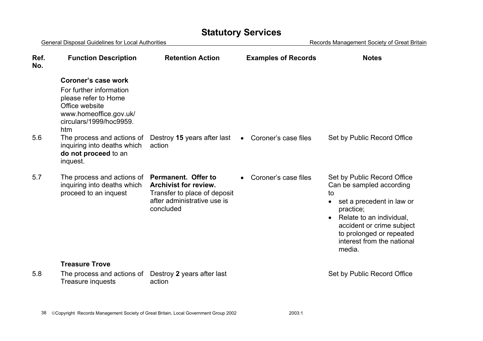# **Statutory Services**

| <b>General Disposal Guidelines for Local Authorities</b> |                                                                                                                                                      |                                                                                                                                 | Records Management Society of Great Britain |                                                                                                                                                                                                                                                                |  |
|----------------------------------------------------------|------------------------------------------------------------------------------------------------------------------------------------------------------|---------------------------------------------------------------------------------------------------------------------------------|---------------------------------------------|----------------------------------------------------------------------------------------------------------------------------------------------------------------------------------------------------------------------------------------------------------------|--|
| Ref.<br>No.                                              | <b>Function Description</b>                                                                                                                          | <b>Retention Action</b>                                                                                                         | <b>Examples of Records</b>                  | <b>Notes</b>                                                                                                                                                                                                                                                   |  |
|                                                          | Coroner's case work<br>For further information<br>please refer to Home<br>Office website<br>www.homeoffice.gov.uk/<br>circulars/1999/hoc9959.<br>htm |                                                                                                                                 |                                             |                                                                                                                                                                                                                                                                |  |
| 5.6                                                      | The process and actions of<br>inquiring into deaths which<br>do not proceed to an<br>inquest.                                                        | Destroy 15 years after last<br>action                                                                                           | Coroner's case files<br>$\bullet$           | Set by Public Record Office                                                                                                                                                                                                                                    |  |
| 5.7                                                      | The process and actions of<br>inquiring into deaths which<br>proceed to an inquest                                                                   | Permanent. Offer to<br><b>Archivist for review.</b><br>Transfer to place of deposit<br>after administrative use is<br>concluded | Coroner's case files                        | Set by Public Record Office<br>Can be sampled according<br>to<br>set a precedent in law or<br>$\bullet$<br>practice;<br>Relate to an individual,<br>$\bullet$<br>accident or crime subject<br>to prolonged or repeated<br>interest from the national<br>media. |  |
| 5.8                                                      | <b>Treasure Trove</b><br>The process and actions of<br>Treasure inquests                                                                             | Destroy 2 years after last<br>action                                                                                            |                                             | Set by Public Record Office                                                                                                                                                                                                                                    |  |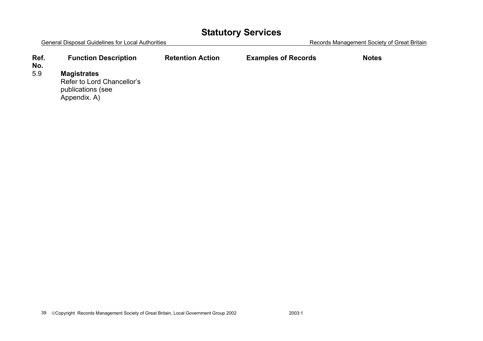# **Statutory Services**

|             | <b>General Disposal Guidelines for Local Authorities</b> |                         |                            | Records Management Society of Great Britain |
|-------------|----------------------------------------------------------|-------------------------|----------------------------|---------------------------------------------|
| Ref.<br>No. | <b>Function Description</b>                              | <b>Retention Action</b> | <b>Examples of Records</b> | <b>Notes</b>                                |
| $ \sim$     | .                                                        |                         |                            |                                             |

#### 5.9 **Magistrates**

 Refer to Lord Chancellor's publications (see Appendix. A)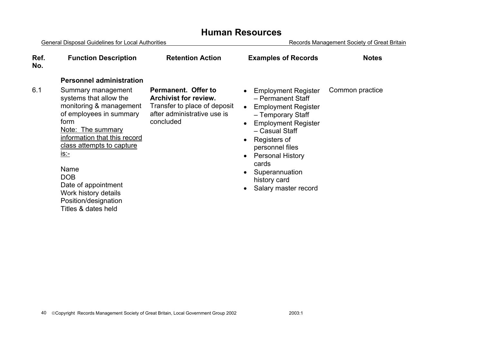| <b>General Disposal Guidelines for Local Authorities</b> |                                                                                                                                                                                                                                                                                                                  |                                                                                                                                 | Records Management Society of Great Britain                                                                                                                                                                                                                                         |                 |
|----------------------------------------------------------|------------------------------------------------------------------------------------------------------------------------------------------------------------------------------------------------------------------------------------------------------------------------------------------------------------------|---------------------------------------------------------------------------------------------------------------------------------|-------------------------------------------------------------------------------------------------------------------------------------------------------------------------------------------------------------------------------------------------------------------------------------|-----------------|
| Ref.<br>No.                                              | <b>Function Description</b>                                                                                                                                                                                                                                                                                      | <b>Retention Action</b>                                                                                                         | <b>Examples of Records</b>                                                                                                                                                                                                                                                          | <b>Notes</b>    |
|                                                          | <b>Personnel administration</b>                                                                                                                                                                                                                                                                                  |                                                                                                                                 |                                                                                                                                                                                                                                                                                     |                 |
| 6.1                                                      | Summary management<br>systems that allow the<br>monitoring & management<br>of employees in summary<br>form<br><u>Note: The summary</u><br>information that this record<br>class attempts to capture<br><u>is - </u><br>Name<br><b>DOB</b><br>Date of appointment<br>Work history details<br>Position/designation | Permanent. Offer to<br><b>Archivist for review.</b><br>Transfer to place of deposit<br>after administrative use is<br>concluded | <b>Employment Register</b><br>- Permanent Staff<br><b>Employment Register</b><br>- Temporary Staff<br><b>Employment Register</b><br>- Casual Staff<br>Registers of<br>personnel files<br><b>Personal History</b><br>cards<br>Superannuation<br>history card<br>Salary master record | Common practice |
|                                                          | Titles & dates held                                                                                                                                                                                                                                                                                              |                                                                                                                                 |                                                                                                                                                                                                                                                                                     |                 |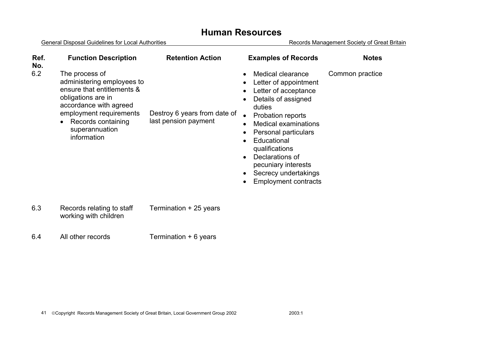| Ref.<br>No. | <b>Function Description</b>                                                                                                                                                                                  | <b>Retention Action</b>                              | <b>Examples of Records</b>                                                                                                                                                                                                                                                                                                                                                                                                                                              | <b>Notes</b>    |
|-------------|--------------------------------------------------------------------------------------------------------------------------------------------------------------------------------------------------------------|------------------------------------------------------|-------------------------------------------------------------------------------------------------------------------------------------------------------------------------------------------------------------------------------------------------------------------------------------------------------------------------------------------------------------------------------------------------------------------------------------------------------------------------|-----------------|
| 6.2         | The process of<br>administering employees to<br>ensure that entitlements &<br>obligations are in<br>accordance with agreed<br>employment requirements<br>Records containing<br>superannuation<br>information | Destroy 6 years from date of<br>last pension payment | Medical clearance<br>$\bullet$<br>Letter of appointment<br>$\bullet$<br>Letter of acceptance<br>$\bullet$<br>Details of assigned<br>$\bullet$<br>duties<br><b>Probation reports</b><br>$\bullet$<br><b>Medical examinations</b><br>$\bullet$<br>Personal particulars<br>$\bullet$<br>Educational<br>$\bullet$<br>qualifications<br>Declarations of<br>$\bullet$<br>pecuniary interests<br>Secrecy undertakings<br>$\bullet$<br><b>Employment contracts</b><br>$\bullet$ | Common practice |
| 6.3         | Records relating to staff                                                                                                                                                                                    | Termination + 25 years                               |                                                                                                                                                                                                                                                                                                                                                                                                                                                                         |                 |

- working with children
- 6.4 All other records Termination + 6 years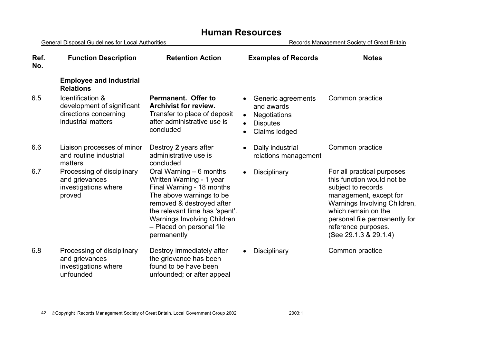| <b>General Disposal Guidelines for Local Authorities</b> |                                                                                               |                                                                                                                                                                                                                                                               | Records Management Society of Great Britain                                                              |                                                                                                                                                                                                                                                  |  |
|----------------------------------------------------------|-----------------------------------------------------------------------------------------------|---------------------------------------------------------------------------------------------------------------------------------------------------------------------------------------------------------------------------------------------------------------|----------------------------------------------------------------------------------------------------------|--------------------------------------------------------------------------------------------------------------------------------------------------------------------------------------------------------------------------------------------------|--|
| Ref.<br>No.                                              | <b>Function Description</b>                                                                   | <b>Retention Action</b>                                                                                                                                                                                                                                       | <b>Examples of Records</b>                                                                               | <b>Notes</b>                                                                                                                                                                                                                                     |  |
|                                                          | <b>Employee and Industrial</b><br><b>Relations</b>                                            |                                                                                                                                                                                                                                                               |                                                                                                          |                                                                                                                                                                                                                                                  |  |
| 6.5                                                      | Identification &<br>development of significant<br>directions concerning<br>industrial matters | Permanent. Offer to<br><b>Archivist for review.</b><br>Transfer to place of deposit<br>after administrative use is<br>concluded                                                                                                                               | Generic agreements<br>and awards<br><b>Negotiations</b><br><b>Disputes</b><br>$\bullet$<br>Claims lodged | Common practice                                                                                                                                                                                                                                  |  |
| 6.6                                                      | Liaison processes of minor<br>and routine industrial<br>matters                               | Destroy 2 years after<br>administrative use is<br>concluded                                                                                                                                                                                                   | Daily industrial<br>$\bullet$<br>relations management                                                    | Common practice                                                                                                                                                                                                                                  |  |
| 6.7                                                      | Processing of disciplinary<br>and grievances<br>investigations where<br>proved                | Oral Warning – 6 months<br>Written Warning - 1 year<br>Final Warning - 18 months<br>The above warnings to be<br>removed & destroyed after<br>the relevant time has 'spent'.<br><b>Warnings Involving Children</b><br>- Placed on personal file<br>permanently | <b>Disciplinary</b><br>$\bullet$                                                                         | For all practical purposes<br>this function would not be<br>subject to records<br>management, except for<br>Warnings Involving Children,<br>which remain on the<br>personal file permanently for<br>reference purposes.<br>(See 29.1.3 & 29.1.4) |  |
| 6.8                                                      | Processing of disciplinary<br>and grievances<br>investigations where<br>unfounded             | Destroy immediately after<br>the grievance has been<br>found to be have been<br>unfounded; or after appeal                                                                                                                                                    | Disciplinary<br>$\bullet$                                                                                | Common practice                                                                                                                                                                                                                                  |  |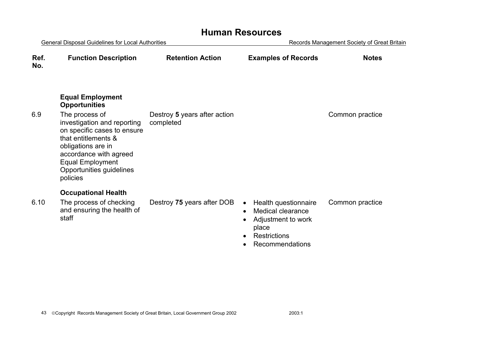| <b>General Disposal Guidelines for Local Authorities</b> |                                                                                                                                                                                                      |                              | Records Management Society of Great Britain                                                                                                  |                 |
|----------------------------------------------------------|------------------------------------------------------------------------------------------------------------------------------------------------------------------------------------------------------|------------------------------|----------------------------------------------------------------------------------------------------------------------------------------------|-----------------|
| Ref.<br>No.                                              | <b>Function Description</b>                                                                                                                                                                          | <b>Retention Action</b>      | <b>Examples of Records</b>                                                                                                                   | <b>Notes</b>    |
| 6.9                                                      | <b>Equal Employment</b><br><b>Opportunities</b><br>The process of                                                                                                                                    | Destroy 5 years after action |                                                                                                                                              | Common practice |
|                                                          | investigation and reporting<br>on specific cases to ensure<br>that entitlements &<br>obligations are in<br>accordance with agreed<br><b>Equal Employment</b><br>Opportunities guidelines<br>policies | completed                    |                                                                                                                                              |                 |
|                                                          | <b>Occupational Health</b>                                                                                                                                                                           |                              |                                                                                                                                              |                 |
| 6.10                                                     | The process of checking<br>and ensuring the health of<br>staff                                                                                                                                       | Destroy 75 years after DOB   | Health questionnaire<br>$\bullet$<br><b>Medical clearance</b><br>$\bullet$<br>Adjustment to work<br>place<br>Restrictions<br>Recommendations | Common practice |
|                                                          |                                                                                                                                                                                                      |                              |                                                                                                                                              |                 |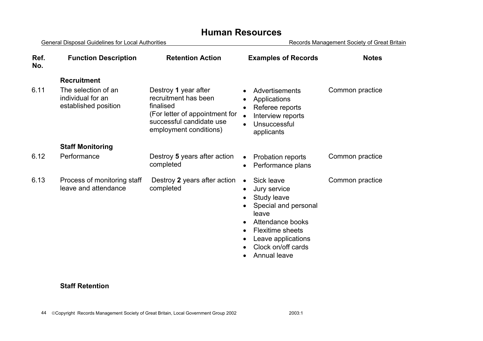General Disposal Guidelines for Local Authorities **Records Management Society of Great Britain Ref. No.Function Description Retention Action Examples of Records Notes Recruitment** 6.11 The selection of an individual for an established position Destroy **1** year after recruitment has been finalised (For letter of appointment for successful candidate use employment conditions) • Advertisements • Applications • Referee reports • Interview reports **Unsuccessful** applicants Common practice **Staff Monitoring**  6.12 Performance Destroy **5** years after action completed Probation reports • Performance plans Common practice 6.13 Process of monitoring staff leave and attendance Destroy **2** years after action completed • Sick leave • Jury service Study leave • Special and personal leave • Attendance books • Flexitime sheets • Leave applications • Clock on/off cards • Annual leave Common practice

#### **Staff Retention**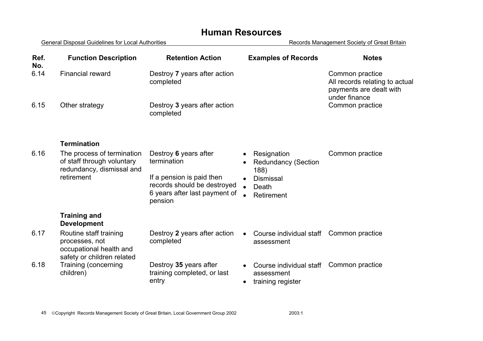| Ref.<br>No. | <b>Function Description</b>                                                                         | <b>Retention Action</b>                                                                                                                      | <b>Examples of Records</b>                                                                                | <b>Notes</b>                                                                                  |
|-------------|-----------------------------------------------------------------------------------------------------|----------------------------------------------------------------------------------------------------------------------------------------------|-----------------------------------------------------------------------------------------------------------|-----------------------------------------------------------------------------------------------|
| 6.14        | <b>Financial reward</b>                                                                             | Destroy 7 years after action<br>completed                                                                                                    |                                                                                                           | Common practice<br>All records relating to actual<br>payments are dealt with<br>under finance |
| 6.15        | Other strategy                                                                                      | Destroy 3 years after action<br>completed                                                                                                    |                                                                                                           | Common practice                                                                               |
|             | <b>Termination</b>                                                                                  |                                                                                                                                              |                                                                                                           |                                                                                               |
| 6.16        | The process of termination<br>of staff through voluntary<br>redundancy, dismissal and<br>retirement | Destroy 6 years after<br>termination<br>If a pension is paid then<br>records should be destroyed<br>6 years after last payment of<br>pension | Resignation<br><b>Redundancy (Section</b><br>188)<br><b>Dismissal</b><br>Death<br>$\bullet$<br>Retirement | Common practice                                                                               |
|             | <b>Training and</b><br><b>Development</b>                                                           |                                                                                                                                              |                                                                                                           |                                                                                               |
| 6.17        | Routine staff training<br>processes, not<br>occupational health and<br>safety or children related   | Destroy 2 years after action<br>completed                                                                                                    | Course individual staff<br>assessment                                                                     | Common practice                                                                               |
| 6.18        | Training (concerning<br>children)                                                                   | Destroy 35 years after<br>training completed, or last<br>entry                                                                               | Course individual staff<br>assessment<br>training register                                                | Common practice                                                                               |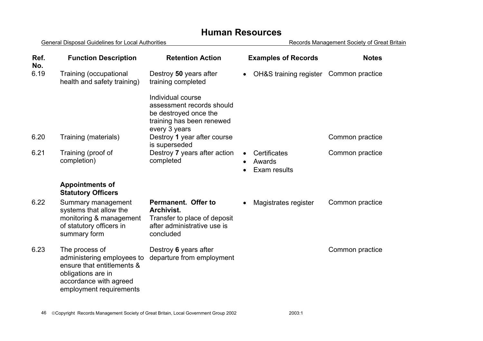| Ref.<br>No. | <b>Function Description</b>                                                                                                                           | <b>Retention Action</b>                                                                                               | <b>Examples of Records</b>             | <b>Notes</b>    |
|-------------|-------------------------------------------------------------------------------------------------------------------------------------------------------|-----------------------------------------------------------------------------------------------------------------------|----------------------------------------|-----------------|
| 6.19        | Training (occupational<br>health and safety training)                                                                                                 | Destroy 50 years after<br>training completed                                                                          | OH&S training register<br>$\bullet$    | Common practice |
|             |                                                                                                                                                       | Individual course<br>assessment records should<br>be destroyed once the<br>training has been renewed<br>every 3 years |                                        |                 |
| 6.20        | Training (materials)                                                                                                                                  | Destroy 1 year after course<br>is superseded                                                                          |                                        | Common practice |
| 6.21        | Training (proof of<br>completion)                                                                                                                     | Destroy 7 years after action<br>completed                                                                             | Certificates<br>Awards<br>Exam results | Common practice |
|             | <b>Appointments of</b><br><b>Statutory Officers</b>                                                                                                   |                                                                                                                       |                                        |                 |
| 6.22        | Summary management<br>systems that allow the<br>monitoring & management<br>of statutory officers in<br>summary form                                   | Permanent. Offer to<br><b>Archivist.</b><br>Transfer to place of deposit<br>after administrative use is<br>concluded  | Magistrates register                   | Common practice |
| 6.23        | The process of<br>administering employees to<br>ensure that entitlements &<br>obligations are in<br>accordance with agreed<br>employment requirements | Destroy 6 years after<br>departure from employment                                                                    |                                        | Common practice |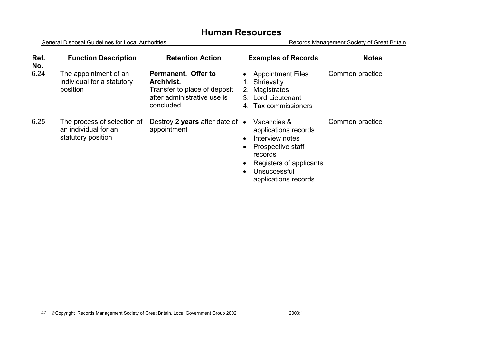| Ref.<br>No. | <b>Function Description</b>                                               | <b>Retention Action</b>                                                                                       | <b>Examples of Records</b>                                                                                                                                | <b>Notes</b>    |
|-------------|---------------------------------------------------------------------------|---------------------------------------------------------------------------------------------------------------|-----------------------------------------------------------------------------------------------------------------------------------------------------------|-----------------|
| 6.24        | The appointment of an<br>individual for a statutory<br>position           | Permanent. Offer to<br>Archivist.<br>Transfer to place of deposit<br>after administrative use is<br>concluded | <b>Appointment Files</b><br>1. Shrievalty<br>Magistrates<br>2.<br>3. Lord Lieutenant<br>4 Tax commissioners                                               | Common practice |
| 6.25        | The process of selection of<br>an individual for an<br>statutory position | Destroy 2 years after date of $\bullet$<br>appointment                                                        | Vacancies &<br>applications records<br>Interview notes<br>Prospective staff<br>records<br>Registers of applicants<br>Unsuccessful<br>applications records | Common practice |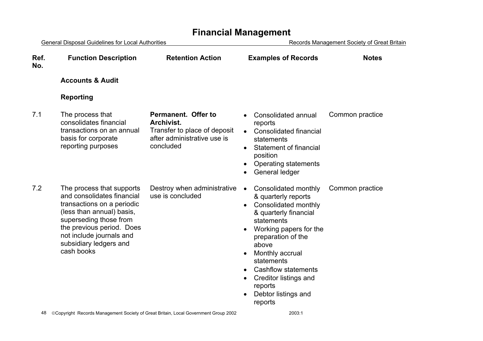| <b>General Disposal Guidelines for Local Authorities</b>                                                                                                                                                                                      |                                                                                                               | Records Management Society of Great Britain                                                                                                                                                                                                                                                                                                                  |                 |
|-----------------------------------------------------------------------------------------------------------------------------------------------------------------------------------------------------------------------------------------------|---------------------------------------------------------------------------------------------------------------|--------------------------------------------------------------------------------------------------------------------------------------------------------------------------------------------------------------------------------------------------------------------------------------------------------------------------------------------------------------|-----------------|
| <b>Function Description</b>                                                                                                                                                                                                                   | <b>Retention Action</b>                                                                                       | <b>Examples of Records</b>                                                                                                                                                                                                                                                                                                                                   | <b>Notes</b>    |
| <b>Accounts &amp; Audit</b>                                                                                                                                                                                                                   |                                                                                                               |                                                                                                                                                                                                                                                                                                                                                              |                 |
| <b>Reporting</b>                                                                                                                                                                                                                              |                                                                                                               |                                                                                                                                                                                                                                                                                                                                                              |                 |
| The process that<br>consolidates financial<br>transactions on an annual<br>basis for corporate<br>reporting purposes                                                                                                                          | Permanent. Offer to<br>Archivist.<br>Transfer to place of deposit<br>after administrative use is<br>concluded | Consolidated annual<br>reports<br><b>Consolidated financial</b><br>$\bullet$<br>statements<br>Statement of financial<br>$\bullet$<br>position<br><b>Operating statements</b><br>General ledger                                                                                                                                                               | Common practice |
| The process that supports<br>and consolidates financial<br>transactions on a periodic<br>(less than annual) basis,<br>superseding those from<br>the previous period. Does<br>not include journals and<br>subsidiary ledgers and<br>cash books | Destroy when administrative<br>use is concluded                                                               | Consolidated monthly<br>$\bullet$<br>& quarterly reports<br>Consolidated monthly<br>$\bullet$<br>& quarterly financial<br>statements<br>Working papers for the<br>preparation of the<br>above<br>Monthly accrual<br>statements<br><b>Cashflow statements</b><br>$\bullet$<br>Creditor listings and<br>$\bullet$<br>reports<br>Debtor listings and<br>reports | Common practice |
|                                                                                                                                                                                                                                               |                                                                                                               |                                                                                                                                                                                                                                                                                                                                                              |                 |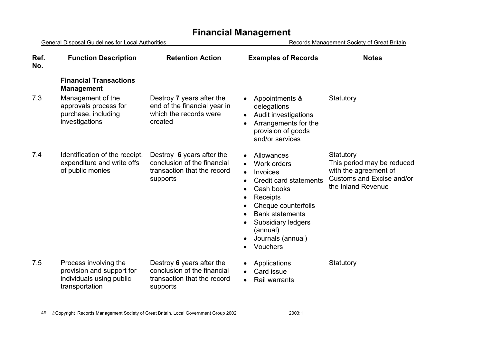General Disposal Guidelines for Local Authorities **Records Management Society of Great Britain Ref. No.Function Description Retention Action Examples of Records Notes Financial Transactions Management**  7.3 Management of the approvals process for purchase, including investigations Destroy **7** years after the end of the financial year in which the records were created • Appointments & delegations • Audit investigations • Arrangements for the provision of goods and/or services **Statutory** 7.4 Identification of the receipt, expenditure and write offs of public monies Destroy **6** years after the conclusion of the financial transaction that the record supports • Allowances Work orders • Invoices • Credit card statementsCash books • Receipts Cheque counterfoils • Bank statements • Subsidiary ledgers (annual) • Journals (annual) **Vouchers Statutory** This period may be reduced with the agreement of Customs and Excise and/or the Inland Revenue 7.5 Process involving the provision and support for individuals using public transportation Destroy **6** years after the conclusion of the financial transaction that the record supports • Applications • Card issue • Rail warrants **Statutory**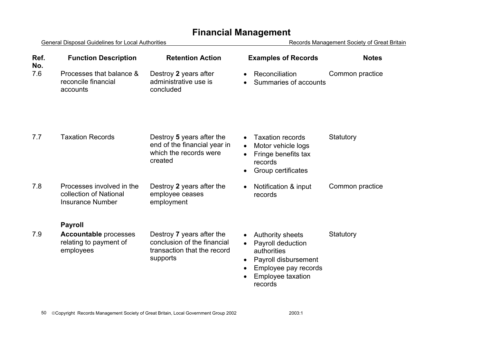| <b>General Disposal Guidelines for Local Authorities</b> |                                                                                |                                                                                                     | Records Management Society of Great Britain                                                                                                                                                     |                 |  |
|----------------------------------------------------------|--------------------------------------------------------------------------------|-----------------------------------------------------------------------------------------------------|-------------------------------------------------------------------------------------------------------------------------------------------------------------------------------------------------|-----------------|--|
| Ref.<br>No.                                              | <b>Function Description</b>                                                    | <b>Retention Action</b>                                                                             | <b>Examples of Records</b>                                                                                                                                                                      | <b>Notes</b>    |  |
| 7.6                                                      | Processes that balance &<br>reconcile financial<br>accounts                    | Destroy 2 years after<br>administrative use is<br>concluded                                         | Reconciliation<br>$\bullet$<br>Summaries of accounts                                                                                                                                            | Common practice |  |
| 7.7                                                      | <b>Taxation Records</b>                                                        | Destroy 5 years after the<br>end of the financial year in<br>which the records were<br>created      | <b>Taxation records</b><br>$\bullet$<br>Motor vehicle logs<br>$\bullet$<br>Fringe benefits tax<br>$\bullet$<br>records<br>Group certificates<br>$\bullet$                                       | Statutory       |  |
| 7.8                                                      | Processes involved in the<br>collection of National<br><b>Insurance Number</b> | Destroy 2 years after the<br>employee ceases<br>employment                                          | Notification & input<br>$\bullet$<br>records                                                                                                                                                    | Common practice |  |
|                                                          | <b>Payroll</b>                                                                 |                                                                                                     |                                                                                                                                                                                                 |                 |  |
| 7.9                                                      | <b>Accountable processes</b><br>relating to payment of<br>employees            | Destroy 7 years after the<br>conclusion of the financial<br>transaction that the record<br>supports | <b>Authority sheets</b><br>$\bullet$<br>Payroll deduction<br>$\bullet$<br>authorities<br>Payroll disbursement<br>$\bullet$<br>Employee pay records<br>$\bullet$<br>Employee taxation<br>records | Statutory       |  |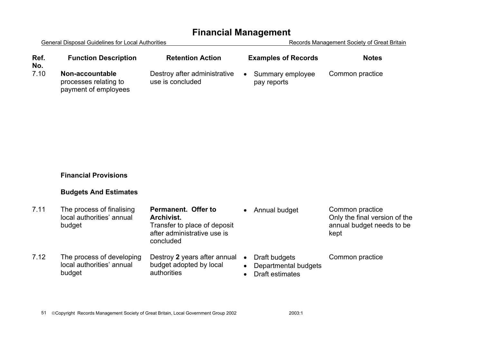General Disposal Guidelines for Local Authorities **Records Management Society of Great Britain Ref. No.Function Description Retention Action Examples of Records Notes**

7.10 **Non-accountable**processes relating to payment of employees

Destroy after administrative use is concluded

• Summary employee pay reports Common practice

#### **Financial Provisions**

#### **Budgets And Estimates**

| 7.11 | The process of finalising<br>local authorities' annual<br>budget | Permanent. Offer to<br>Archivist.<br>Transfer to place of deposit<br>after administrative use is<br>concluded |           | Annual budget                                            | Common practice<br>Only the final version of the<br>annual budget needs to be<br>kept |
|------|------------------------------------------------------------------|---------------------------------------------------------------------------------------------------------------|-----------|----------------------------------------------------------|---------------------------------------------------------------------------------------|
| 7.12 | The process of developing<br>local authorities' annual<br>budget | Destroy 2 years after annual •<br>budget adopted by local<br>authorities                                      | $\bullet$ | Draft budgets<br>Departmental budgets<br>Draft estimates | Common practice                                                                       |

51 Copyright Records Management Society of Great Britain, Local Government Group 2002 2003:1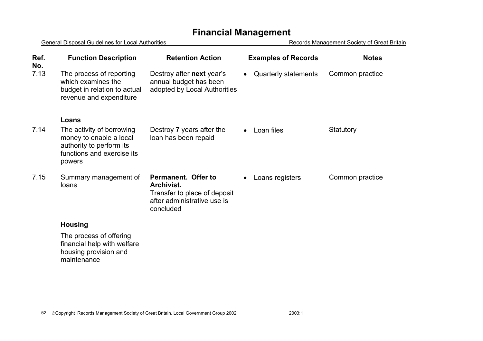| General Disposal Guidelines for Local Authorities |                                                                                                                          |                                                                                                               | Records Management Society of Great Britain |                 |  |
|---------------------------------------------------|--------------------------------------------------------------------------------------------------------------------------|---------------------------------------------------------------------------------------------------------------|---------------------------------------------|-----------------|--|
| Ref.<br>No.                                       | <b>Function Description</b>                                                                                              | <b>Retention Action</b>                                                                                       | <b>Examples of Records</b>                  | <b>Notes</b>    |  |
| 7.13                                              | The process of reporting<br>which examines the<br>budget in relation to actual<br>revenue and expenditure                | Destroy after next year's<br>annual budget has been<br>adopted by Local Authorities                           | Quarterly statements                        | Common practice |  |
|                                                   | Loans                                                                                                                    |                                                                                                               |                                             |                 |  |
| 7.14                                              | The activity of borrowing<br>money to enable a local<br>authority to perform its<br>functions and exercise its<br>powers | Destroy 7 years after the<br>loan has been repaid                                                             | Loan files                                  | Statutory       |  |
| 7.15                                              | Summary management of<br>loans                                                                                           | Permanent. Offer to<br>Archivist.<br>Transfer to place of deposit<br>after administrative use is<br>concluded | Loans registers                             | Common practice |  |
|                                                   | <b>Housing</b>                                                                                                           |                                                                                                               |                                             |                 |  |
|                                                   | The process of offering<br>financial help with welfare<br>housing provision and<br>maintenance                           |                                                                                                               |                                             |                 |  |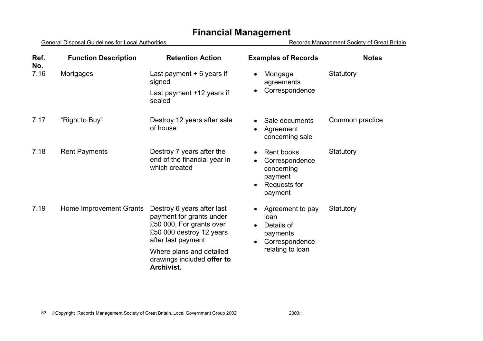| Ref.<br>No. | <b>Function Description</b> | <b>Retention Action</b>                                                                                                              | <b>Examples of Records</b>                                                                                 | <b>Notes</b>    |
|-------------|-----------------------------|--------------------------------------------------------------------------------------------------------------------------------------|------------------------------------------------------------------------------------------------------------|-----------------|
| 7.16        | Mortgages                   | Last payment $+6$ years if<br>signed                                                                                                 | Mortgage<br>$\bullet$<br>agreements                                                                        | Statutory       |
|             |                             | Last payment +12 years if<br>sealed                                                                                                  | Correspondence<br>$\bullet$                                                                                |                 |
| 7.17        | "Right to Buy"              | Destroy 12 years after sale<br>of house                                                                                              | Sale documents<br>Agreement<br>concerning sale                                                             | Common practice |
| 7.18        | <b>Rent Payments</b>        | Destroy 7 years after the<br>end of the financial year in<br>which created                                                           | Rent books<br>Correspondence<br>$\bullet$<br>concerning<br>payment<br>Requests for<br>$\bullet$<br>payment | Statutory       |
| 7.19        | Home Improvement Grants     | Destroy 6 years after last<br>payment for grants under<br>£50 000, For grants over<br>£50 000 destroy 12 years<br>after last payment | Agreement to pay<br>loan<br>Details of<br>$\bullet$<br>payments<br>Correspondence<br>$\bullet$             | Statutory       |
|             |                             | Where plans and detailed<br>drawings included offer to<br>Archivist.                                                                 | relating to loan                                                                                           |                 |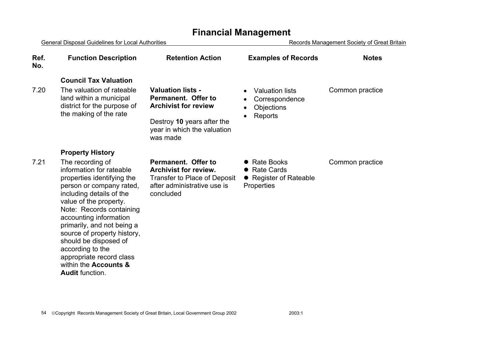General Disposal Guidelines for Local Authorities **Records Management Society of Great Britain Ref. No.Function Description Retention Action Examples of Records Notes Council Tax Valuation**7.20 The valuation of rateable land within a municipal district for the purpose of the making of the rate **Valuation lists - Permanent. Offer to Archivist for review**Destroy **10** years after the year in which the valuation was made • Valuation lists **Correspondence Objections** • Reports Common practice **Property History**  7.21 The recording of information for rateable properties identifying the person or company rated, including details of the value of the property. Note: Records containing accounting information primarily, and not being a source of property history, should be disposed of according to the appropriate record class within the **Accounts &Audit** function. **Permanent. Offer to Archivist for review.**Transfer to Place of Deposit after administrative use is concluded • Rate Books • Rate Cards • Register of Rateable **Properties** Common practice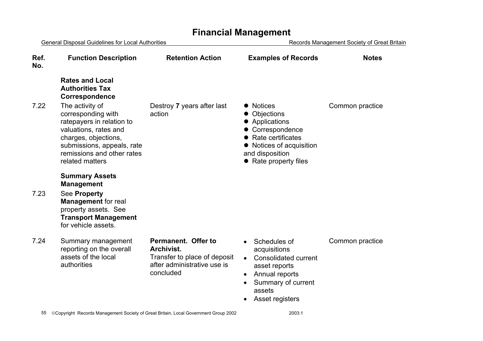#### General Disposal Guidelines for Local Authorities **Records Management Society of Great Britain Ref. No.Function Description Retention Action Examples of Records Notes Rates and Local Authorities Tax Correspondence**  7.22 The activity of corresponding with ratepayers in relation to valuations, rates and charges, objections, submissions, appeals, rate remissions and other rates related mattersDestroy **7** years after last action • Notices • Objections • Applications • Correspondence  $\bullet$  Rate certificates • Notices of acquisition and disposition  $\bullet$  Rate property files Common practice **Summary Assets Management**  7.23 See **Property Management** for real property assets. See **Transport Management** for vehicle assets. 7.24 Summary management reporting on the overall assets of the local authorities **Permanent. Offer to Archivist.**Transfer to place of deposit after administrative use is concluded • Schedules of acquisitions • Consolidated current asset reports • Annual reports • Summary of current assets • Asset registers Common practice

## **Financial Management**

55 Copyright Records Management Society of Great Britain, Local Government Group 2002 2003:1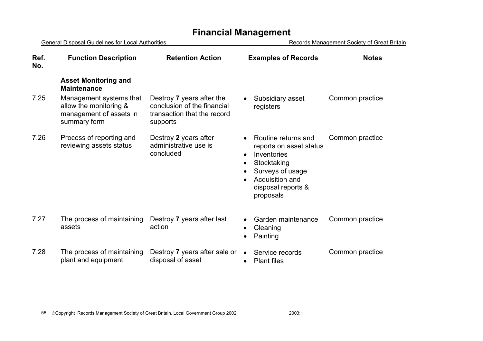| General Disposal Guidelines for Local Authorities |                                                                                              | Records Management Society of Great Britain                                                         |                                                                                                                                                                                  |                 |
|---------------------------------------------------|----------------------------------------------------------------------------------------------|-----------------------------------------------------------------------------------------------------|----------------------------------------------------------------------------------------------------------------------------------------------------------------------------------|-----------------|
| Ref.<br>No.                                       | <b>Function Description</b>                                                                  | <b>Retention Action</b>                                                                             | <b>Examples of Records</b>                                                                                                                                                       | <b>Notes</b>    |
|                                                   | <b>Asset Monitoring and</b><br><b>Maintenance</b>                                            |                                                                                                     |                                                                                                                                                                                  |                 |
| 7.25                                              | Management systems that<br>allow the monitoring &<br>management of assets in<br>summary form | Destroy 7 years after the<br>conclusion of the financial<br>transaction that the record<br>supports | Subsidiary asset<br>registers                                                                                                                                                    | Common practice |
| 7.26                                              | Process of reporting and<br>reviewing assets status                                          | Destroy 2 years after<br>administrative use is<br>concluded                                         | Routine returns and<br>reports on asset status<br>Inventories<br>$\bullet$<br>Stocktaking<br>$\bullet$<br>Surveys of usage<br>Acquisition and<br>disposal reports &<br>proposals | Common practice |
| 7.27                                              | The process of maintaining<br>assets                                                         | Destroy 7 years after last<br>action                                                                | Garden maintenance<br>Cleaning<br>Painting                                                                                                                                       | Common practice |
| 7.28                                              | The process of maintaining<br>plant and equipment                                            | Destroy 7 years after sale or<br>disposal of asset                                                  | Service records<br><b>Plant files</b><br>$\bullet$                                                                                                                               | Common practice |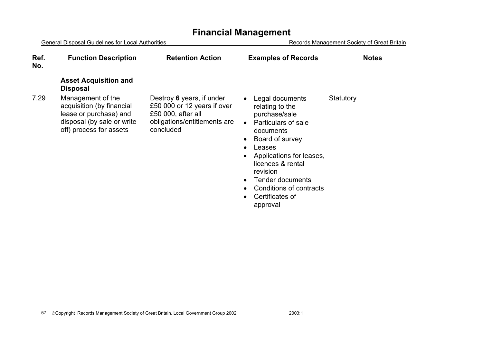General Disposal Guidelines for Local Authorities **Records Management Society of Great Britain Ref. Function Description Retention Action Examples of Records Notes Asset Acquisition and Disposal**  7.29 Management of the acquisition (by financial lease or purchase) and disposal (by sale or write off) process for assets Destroy **6** years, if under £50 000 or 12 years if over £50 000, after all obligations/entitlements are concluded • Legal documents relating to the purchase/sale • Particulars of sale documents • Board of survey **Statutory** 

- Leases
- Applications for leases, licences & rental revision
- Tender documents
- Conditions of contracts
- Certificates of approval

#### **No.**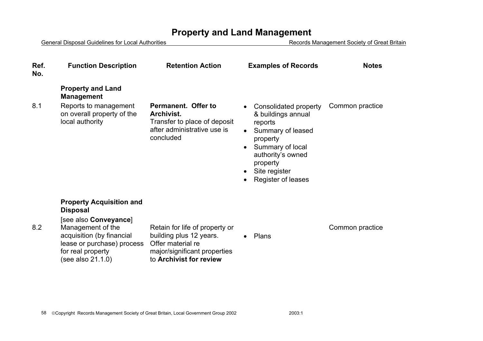| Ref.<br>No. | <b>Function Description</b>                                                                                                                                                                           | <b>Retention Action</b>                                                                                                                   | <b>Examples of Records</b>                                                                                                                                                                                                                           | <b>Notes</b>    |
|-------------|-------------------------------------------------------------------------------------------------------------------------------------------------------------------------------------------------------|-------------------------------------------------------------------------------------------------------------------------------------------|------------------------------------------------------------------------------------------------------------------------------------------------------------------------------------------------------------------------------------------------------|-----------------|
|             | <b>Property and Land</b><br><b>Management</b>                                                                                                                                                         |                                                                                                                                           |                                                                                                                                                                                                                                                      |                 |
| 8.1         | Reports to management<br>on overall property of the<br>local authority                                                                                                                                | Permanent. Offer to<br>Archivist.<br>Transfer to place of deposit<br>after administrative use is<br>concluded                             | Consolidated property<br>$\bullet$<br>& buildings annual<br>reports<br>Summary of leased<br>$\bullet$<br>property<br>Summary of local<br>$\bullet$<br>authority's owned<br>property<br>Site register<br>$\bullet$<br>Register of leases<br>$\bullet$ | Common practice |
| 8.2         | <b>Property Acquisition and</b><br><b>Disposal</b><br>[see also Conveyance]<br>Management of the<br>acquisition (by financial<br>lease or purchase) process<br>for real property<br>(see also 21.1.0) | Retain for life of property or<br>building plus 12 years.<br>Offer material re<br>major/significant properties<br>to Archivist for review | Plans<br>$\bullet$                                                                                                                                                                                                                                   | Common practice |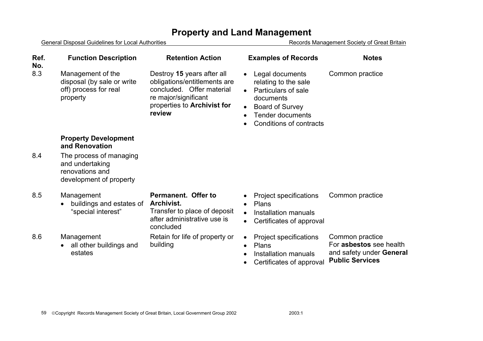| Ref.<br>No. | <b>Function Description</b>                                                              | <b>Retention Action</b>                                                                                                                                  | <b>Examples of Records</b>                                                                                                                                                                                      | <b>Notes</b>                                                                                     |
|-------------|------------------------------------------------------------------------------------------|----------------------------------------------------------------------------------------------------------------------------------------------------------|-----------------------------------------------------------------------------------------------------------------------------------------------------------------------------------------------------------------|--------------------------------------------------------------------------------------------------|
| 8.3         | Management of the<br>disposal (by sale or write<br>off) process for real<br>property     | Destroy 15 years after all<br>obligations/entitlements are<br>concluded. Offer material<br>re major/significant<br>properties to Archivist for<br>review | Legal documents<br>$\bullet$<br>relating to the sale<br>Particulars of sale<br>$\bullet$<br>documents<br><b>Board of Survey</b><br>$\bullet$<br><b>Tender documents</b><br>$\bullet$<br>Conditions of contracts | Common practice                                                                                  |
|             | <b>Property Development</b><br>and Renovation                                            |                                                                                                                                                          |                                                                                                                                                                                                                 |                                                                                                  |
| 8.4         | The process of managing<br>and undertaking<br>renovations and<br>development of property |                                                                                                                                                          |                                                                                                                                                                                                                 |                                                                                                  |
| 8.5         | Management<br>buildings and estates of<br>"special interest"                             | Permanent. Offer to<br>Archivist.<br>Transfer to place of deposit<br>after administrative use is<br>concluded                                            | <b>Project specifications</b><br>Plans<br>$\bullet$<br>Installation manuals<br>$\bullet$<br>Certificates of approval<br>$\bullet$                                                                               | Common practice                                                                                  |
| 8.6         | Management<br>all other buildings and<br>$\bullet$<br>estates                            | Retain for life of property or<br>building                                                                                                               | Project specifications<br>$\bullet$<br>Plans<br>$\bullet$<br>Installation manuals<br>$\bullet$<br>Certificates of approval                                                                                      | Common practice<br>For asbestos see health<br>and safety under General<br><b>Public Services</b> |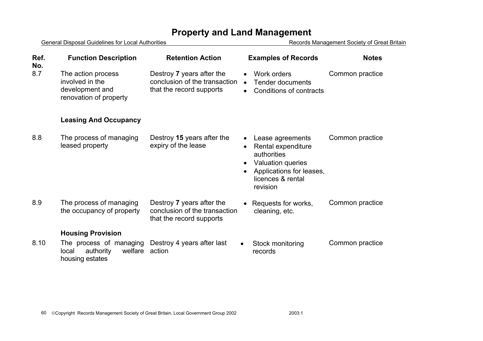General Disposal Guidelines for Local Authorities **Records Management Society of Great Britain Ref. No.Function Description Retention Action Examples of Records Notes** 8.7 The action process involved in the development and renovation of property Destroy **7** years after the conclusion of the transaction that the record supports • Work orders • Tender documents • Conditions of contractsCommon practice **Leasing And Occupancy**  8.8 The process of managing leased property Destroy **15** years after the expiry of the lease • Lease agreements • Rental expenditure authorities • Valuation queries • Applications for leases, licences & rental revision Common practice 8.9 The process of managing the occupancy of property Destroy **7** years after the conclusion of the transaction that the record supports • Requests for works, cleaning, etc. Common practice **Housing Provision**  8.10 The process of managing local authority housing estates Destroy 4 years after last welfare action • Stock monitoring records Common practice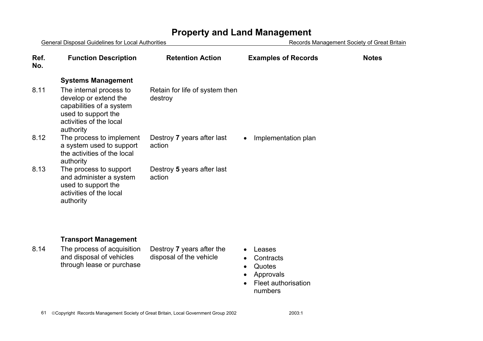| <b>General Disposal Guidelines for Local Authorities</b> |                                                                                                                                             |                                           | Records Management Society of Great Britain |              |
|----------------------------------------------------------|---------------------------------------------------------------------------------------------------------------------------------------------|-------------------------------------------|---------------------------------------------|--------------|
| Ref.<br>No.                                              | <b>Function Description</b>                                                                                                                 | <b>Retention Action</b>                   | <b>Examples of Records</b>                  | <b>Notes</b> |
|                                                          | <b>Systems Management</b>                                                                                                                   |                                           |                                             |              |
| 8.11                                                     | The internal process to<br>develop or extend the<br>capabilities of a system<br>used to support the<br>activities of the local<br>authority | Retain for life of system then<br>destroy |                                             |              |
| 8.12                                                     | The process to implement<br>a system used to support<br>the activities of the local<br>authority                                            | Destroy 7 years after last<br>action      | Implementation plan                         |              |
| 8.13                                                     | The process to support<br>and administer a system<br>used to support the<br>activities of the local<br>authority                            | Destroy 5 years after last<br>action      |                                             |              |

#### **Transport Management**

8.14 The process of acquisition and disposal of vehicles through lease or purchase

Destroy **7** years after the disposal of the vehicle

- Leases
- Contracts
- Quotes
- Approvals
- Fleet authorisation numbers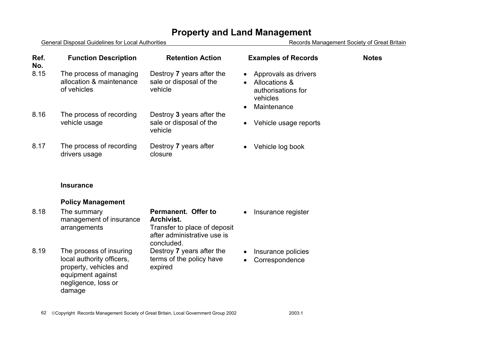General Disposal Guidelines for Local Authorities Changement Society of Great Britain

| Ref.<br>No. | <b>Function Description</b>                                        | <b>Retention Action</b>                                         | <b>Examples of Records</b>                                                                                                    | <b>Notes</b> |
|-------------|--------------------------------------------------------------------|-----------------------------------------------------------------|-------------------------------------------------------------------------------------------------------------------------------|--------------|
| 8.15        | The process of managing<br>allocation & maintenance<br>of vehicles | Destroy 7 years after the<br>sale or disposal of the<br>vehicle | Approvals as drivers<br>$\bullet$<br>Allocations &<br>$\bullet$<br>authorisations for<br>vehicles<br>Maintenance<br>$\bullet$ |              |
| 8.16        | The process of recording<br>vehicle usage                          | Destroy 3 years after the<br>sale or disposal of the<br>vehicle | Vehicle usage reports<br>$\bullet$                                                                                            |              |
| 8.17        | The process of recording<br>drivers usage                          | Destroy 7 years after<br>closure                                | Vehicle log book<br>$\bullet$                                                                                                 |              |

#### **Insurance**

#### **Policy Management**

| 8.18 | The summary<br>management of insurance<br>arrangements                                                                               | Permanent. Offer to<br>Archivist.<br>Transfer to place of deposit<br>after administrative use is<br>concluded. | $\bullet$              | Insurance register                   |
|------|--------------------------------------------------------------------------------------------------------------------------------------|----------------------------------------------------------------------------------------------------------------|------------------------|--------------------------------------|
| 8.19 | The process of insuring<br>local authority officers,<br>property, vehicles and<br>equipment against<br>negligence, loss or<br>damage | Destroy 7 years after the<br>terms of the policy have<br>expired                                               | $\bullet$<br>$\bullet$ | Insurance policies<br>Correspondence |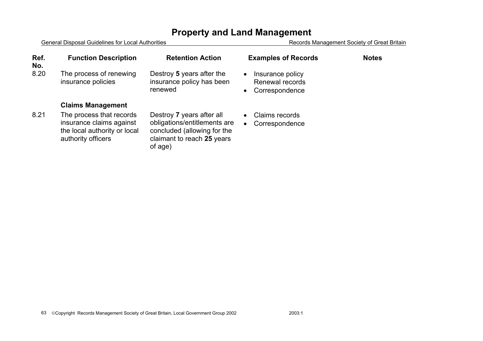| Ref.<br>No. | <b>Function Description</b>                                                                                | <b>Retention Action</b>                                                                                                           | <b>Examples of Records</b>                                                      | <b>Notes</b> |
|-------------|------------------------------------------------------------------------------------------------------------|-----------------------------------------------------------------------------------------------------------------------------------|---------------------------------------------------------------------------------|--------------|
| 8.20        | The process of renewing<br>insurance policies                                                              | Destroy 5 years after the<br>insurance policy has been<br>renewed                                                                 | Insurance policy<br>$\bullet$<br>Renewal records<br>Correspondence<br>$\bullet$ |              |
|             | <b>Claims Management</b>                                                                                   |                                                                                                                                   |                                                                                 |              |
| 8.21        | The process that records<br>insurance claims against<br>the local authority or local<br>authority officers | Destroy 7 years after all<br>obligations/entitlements are<br>concluded (allowing for the<br>claimant to reach 25 years<br>of age) | Claims records<br>Correspondence<br>$\bullet$                                   |              |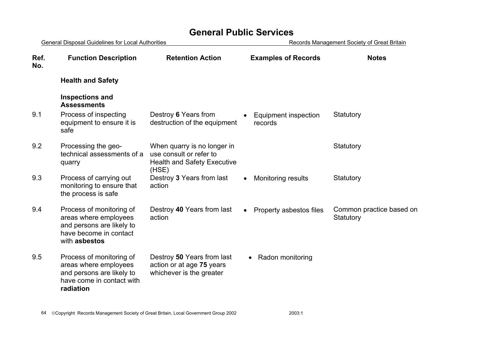| General Disposal Guidelines for Local Authorities |                                                                                                                           | Records Management Society of Great Britain                                                           |                                      |                                       |
|---------------------------------------------------|---------------------------------------------------------------------------------------------------------------------------|-------------------------------------------------------------------------------------------------------|--------------------------------------|---------------------------------------|
| Ref.<br>No.                                       | <b>Function Description</b>                                                                                               | <b>Retention Action</b>                                                                               | <b>Examples of Records</b>           | <b>Notes</b>                          |
|                                                   | <b>Health and Safety</b>                                                                                                  |                                                                                                       |                                      |                                       |
|                                                   | <b>Inspections and</b><br><b>Assessments</b>                                                                              |                                                                                                       |                                      |                                       |
| 9.1                                               | Process of inspecting<br>equipment to ensure it is<br>safe                                                                | Destroy 6 Years from<br>destruction of the equipment                                                  | Equipment inspection<br>records      | Statutory                             |
| 9.2                                               | Processing the geo-<br>technical assessments of a<br>quarry                                                               | When quarry is no longer in<br>use consult or refer to<br><b>Health and Safety Executive</b><br>(HSE) |                                      | Statutory                             |
| 9.3                                               | Process of carrying out<br>monitoring to ensure that<br>the process is safe                                               | Destroy 3 Years from last<br>action                                                                   | Monitoring results                   | Statutory                             |
| 9.4                                               | Process of monitoring of<br>areas where employees<br>and persons are likely to<br>have become in contact<br>with asbestos | Destroy 40 Years from last<br>action                                                                  | Property asbestos files<br>$\bullet$ | Common practice based on<br>Statutory |
| 9.5                                               | Process of monitoring of<br>areas where employees<br>and persons are likely to<br>have come in contact with<br>radiation  | Destroy 50 Years from last<br>action or at age 75 years<br>whichever is the greater                   | Radon monitoring                     |                                       |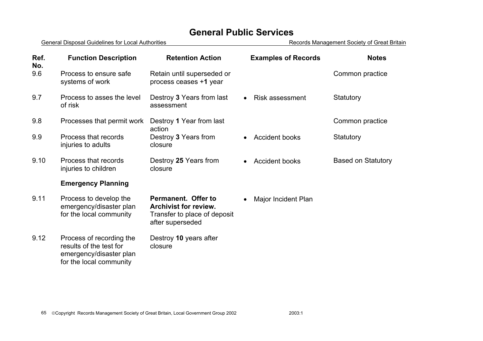| Ref.<br>No. | <b>Function Description</b>                                                                               | <b>Retention Action</b>                                                                                 | <b>Examples of Records</b> | <b>Notes</b>              |
|-------------|-----------------------------------------------------------------------------------------------------------|---------------------------------------------------------------------------------------------------------|----------------------------|---------------------------|
| 9.6         | Process to ensure safe<br>systems of work                                                                 | Retain until superseded or<br>process ceases +1 year                                                    |                            | Common practice           |
| 9.7         | Process to asses the level<br>of risk                                                                     | Destroy 3 Years from last<br>assessment                                                                 | <b>Risk assessment</b>     | Statutory                 |
| 9.8         | Processes that permit work                                                                                | Destroy 1 Year from last<br>action                                                                      |                            | Common practice           |
| 9.9         | Process that records<br>injuries to adults                                                                | Destroy 3 Years from<br>closure                                                                         | <b>Accident books</b>      | Statutory                 |
| 9.10        | Process that records<br>injuries to children                                                              | Destroy 25 Years from<br>closure                                                                        | <b>Accident books</b>      | <b>Based on Statutory</b> |
|             | <b>Emergency Planning</b>                                                                                 |                                                                                                         |                            |                           |
| 9.11        | Process to develop the<br>emergency/disaster plan<br>for the local community                              | Permanent. Offer to<br><b>Archivist for review.</b><br>Transfer to place of deposit<br>after superseded | Major Incident Plan        |                           |
| 9.12        | Process of recording the<br>results of the test for<br>emergency/disaster plan<br>for the local community | Destroy 10 years after<br>closure                                                                       |                            |                           |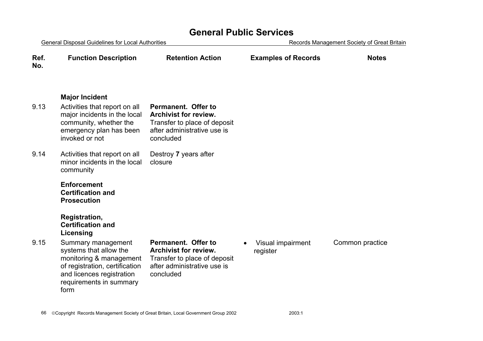| <b>General Disposal Guidelines for Local Authorities</b> |                                                                                                                                                                                        | Records Management Society of Great Britain                                                                                     |                                            |                 |
|----------------------------------------------------------|----------------------------------------------------------------------------------------------------------------------------------------------------------------------------------------|---------------------------------------------------------------------------------------------------------------------------------|--------------------------------------------|-----------------|
| Ref.<br>No.                                              | <b>Function Description</b>                                                                                                                                                            | <b>Retention Action</b>                                                                                                         | <b>Examples of Records</b>                 | <b>Notes</b>    |
| 9.13                                                     | <b>Major Incident</b><br>Activities that report on all<br>major incidents in the local<br>community, whether the<br>emergency plan has been<br>invoked or not                          | Permanent. Offer to<br><b>Archivist for review.</b><br>Transfer to place of deposit<br>after administrative use is<br>concluded |                                            |                 |
| 9.14                                                     | Activities that report on all<br>minor incidents in the local<br>community                                                                                                             | Destroy 7 years after<br>closure                                                                                                |                                            |                 |
|                                                          | <b>Enforcement</b><br><b>Certification and</b><br><b>Prosecution</b><br>Registration,<br><b>Certification and</b>                                                                      |                                                                                                                                 |                                            |                 |
| 9.15                                                     | Licensing<br>Summary management<br>systems that allow the<br>monitoring & management<br>of registration, certification<br>and licences registration<br>requirements in summary<br>form | Permanent. Offer to<br><b>Archivist for review.</b><br>Transfer to place of deposit<br>after administrative use is<br>concluded | Visual impairment<br>$\bullet$<br>register | Common practice |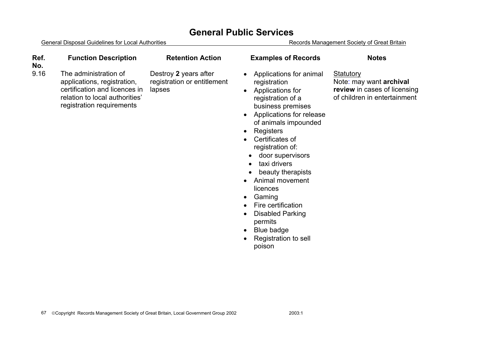| Ref.<br>No. | <b>Function Description</b>                                                                                                                          | <b>Retention Action</b>                                        | <b>Examples of Records</b>                                                                                                                                                                                                                                                                                                                                                                                                                                         | <b>Notes</b>                                                                                                |
|-------------|------------------------------------------------------------------------------------------------------------------------------------------------------|----------------------------------------------------------------|--------------------------------------------------------------------------------------------------------------------------------------------------------------------------------------------------------------------------------------------------------------------------------------------------------------------------------------------------------------------------------------------------------------------------------------------------------------------|-------------------------------------------------------------------------------------------------------------|
| 9.16        | The administration of<br>applications, registration,<br>certification and licences in<br>relation to local authorities'<br>registration requirements | Destroy 2 years after<br>registration or entitlement<br>lapses | Applications for animal<br>registration<br>Applications for<br>registration of a<br>business premises<br>Applications for release<br>of animals impounded<br>Registers<br>Certificates of<br>registration of:<br>door supervisors<br>taxi drivers<br>beauty therapists<br>Animal movement<br>licences<br>Gaming<br>$\bullet$<br>Fire certification<br>$\bullet$<br><b>Disabled Parking</b><br>permits<br>Blue badge<br>$\bullet$<br>Registration to sell<br>poison | <b>Statutory</b><br>Note: may want archival<br>review in cases of licensing<br>of children in entertainment |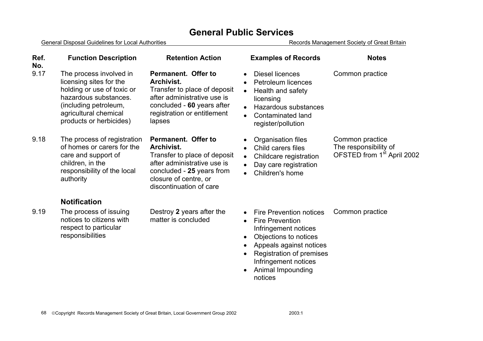General Disposal Guidelines for Local Authorities **Records Management Society of Great Britain** 

| Ref.<br>No. | <b>Function Description</b>                                                                                                                                                            | <b>Retention Action</b>                                                                                                                                                                  | <b>Examples of Records</b>                                                                                                                                                                                                                                                                  | <b>Notes</b>                                                                       |
|-------------|----------------------------------------------------------------------------------------------------------------------------------------------------------------------------------------|------------------------------------------------------------------------------------------------------------------------------------------------------------------------------------------|---------------------------------------------------------------------------------------------------------------------------------------------------------------------------------------------------------------------------------------------------------------------------------------------|------------------------------------------------------------------------------------|
| 9.17        | The process involved in<br>licensing sites for the<br>holding or use of toxic or<br>hazardous substances.<br>(including petroleum,<br>agricultural chemical<br>products or herbicides) | Permanent. Offer to<br>Archivist.<br>Transfer to place of deposit<br>after administrative use is<br>concluded - 60 years after<br>registration or entitlement<br>lapses                  | Diesel licences<br>$\bullet$<br><b>Petroleum licences</b><br>$\bullet$<br>Health and safety<br>$\bullet$<br>licensing<br>Hazardous substances<br>$\bullet$<br>Contaminated land<br>$\bullet$<br>register/pollution                                                                          | Common practice                                                                    |
| 9.18        | The process of registration<br>of homes or carers for the<br>care and support of<br>children, in the<br>responsibility of the local<br>authority                                       | Permanent. Offer to<br><b>Archivist.</b><br>Transfer to place of deposit<br>after administrative use is<br>concluded - 25 years from<br>closure of centre, or<br>discontinuation of care | Organisation files<br>$\bullet$<br>Child carers files<br>$\bullet$<br>Childcare registration<br>$\bullet$<br>Day care registration<br>$\bullet$<br>Children's home<br>$\bullet$                                                                                                             | Common practice<br>The responsibility of<br>OFSTED from 1 <sup>st</sup> April 2002 |
|             | <b>Notification</b>                                                                                                                                                                    |                                                                                                                                                                                          |                                                                                                                                                                                                                                                                                             |                                                                                    |
| 9.19        | The process of issuing<br>notices to citizens with<br>respect to particular<br>responsibilities                                                                                        | Destroy 2 years after the<br>matter is concluded                                                                                                                                         | <b>Fire Prevention notices</b><br>$\bullet$<br><b>Fire Prevention</b><br>$\bullet$<br>Infringement notices<br>Objections to notices<br>$\bullet$<br>Appeals against notices<br>$\bullet$<br>Registration of premises<br>$\bullet$<br>Infringement notices<br>Animal Impounding<br>$\bullet$ | Common practice                                                                    |

notices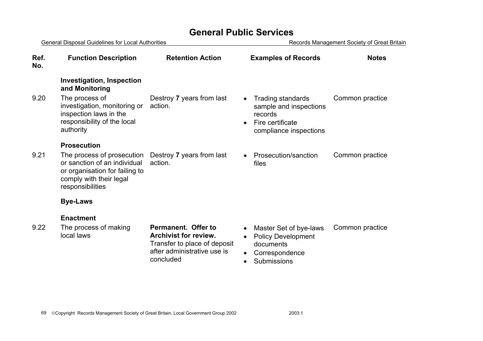| <b>General Disposal Guidelines for Local Authorities</b> |                                                                                                                                             |                                                                                                                                        | Records Management Society of Great Britain                                                                              |                 |  |
|----------------------------------------------------------|---------------------------------------------------------------------------------------------------------------------------------------------|----------------------------------------------------------------------------------------------------------------------------------------|--------------------------------------------------------------------------------------------------------------------------|-----------------|--|
| Ref.<br>No.                                              | <b>Function Description</b>                                                                                                                 | <b>Retention Action</b>                                                                                                                | <b>Examples of Records</b>                                                                                               | <b>Notes</b>    |  |
|                                                          | <b>Investigation, Inspection</b><br>and Monitoring                                                                                          |                                                                                                                                        |                                                                                                                          |                 |  |
| 9.20                                                     | The process of<br>investigation, monitoring or<br>inspection laws in the<br>responsibility of the local<br>authority                        | Destroy 7 years from last<br>action.                                                                                                   | <b>Trading standards</b><br>sample and inspections<br>records<br>Fire certificate<br>$\bullet$<br>compliance inspections | Common practice |  |
|                                                          | <b>Prosecution</b>                                                                                                                          |                                                                                                                                        |                                                                                                                          |                 |  |
| 9.21                                                     | The process of prosecution<br>or sanction of an individual<br>or organisation for failing to<br>comply with their legal<br>responsibilities | Destroy 7 years from last<br>action.                                                                                                   | Prosecution/sanction<br>files                                                                                            | Common practice |  |
|                                                          | <b>Bye-Laws</b>                                                                                                                             |                                                                                                                                        |                                                                                                                          |                 |  |
|                                                          | <b>Enactment</b>                                                                                                                            |                                                                                                                                        |                                                                                                                          |                 |  |
| 9.22                                                     | The process of making<br>local laws                                                                                                         | <b>Permanent. Offer to</b><br><b>Archivist for review.</b><br>Transfer to place of deposit<br>after administrative use is<br>concluded | Master Set of bye-laws<br><b>Policy Development</b><br>documents<br>Correspondence<br>Submissions                        | Common practice |  |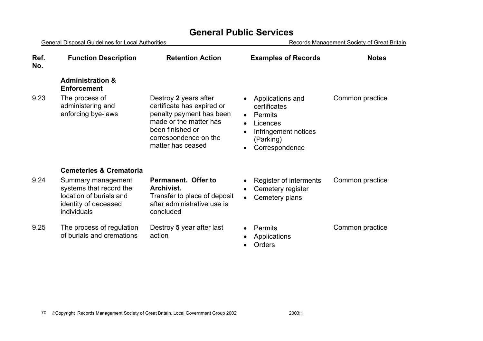General Disposal Guidelines for Local Authorities **Records Management Society of Great Britain Ref. No.Function Description Retention Action Examples of Records Notes Administration & Enforcement** 9.23 The process of administering and enforcing bye-laws Destroy **2** years after certificate has expired or penalty payment has been made or the matter has been finished or correspondence on the matter has ceased • Applications and certificates • Permits • Licences • Infringement notices (Parking) • Correspondence Common practice **Cemeteries & Crematoria** 9.24 Summary management systems that record the location of burials and identity of deceased individuals **Permanent. Offer to Archivist.**Transfer to place of deposit after administrative use is concluded • Register of interments Cemetery register • Cemetery plans Common practice 9.25 The process of regulation of burials and cremations Destroy **5** year after last action • Permits • Applications • Orders Common practice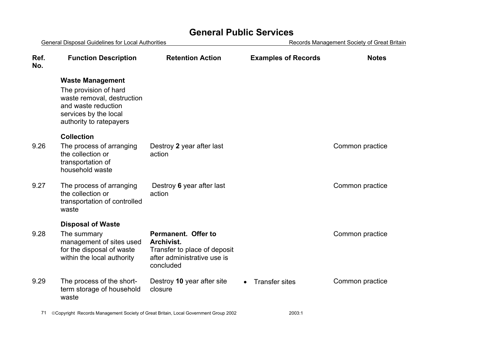| General Disposal Guidelines for Local Authorities |                                                                                                                                                           |                                                                                                               | Records Management Society of Great Britain |                 |  |
|---------------------------------------------------|-----------------------------------------------------------------------------------------------------------------------------------------------------------|---------------------------------------------------------------------------------------------------------------|---------------------------------------------|-----------------|--|
| Ref.<br>No.                                       | <b>Function Description</b>                                                                                                                               | <b>Retention Action</b>                                                                                       | <b>Examples of Records</b>                  | <b>Notes</b>    |  |
|                                                   | <b>Waste Management</b><br>The provision of hard<br>waste removal, destruction<br>and waste reduction<br>services by the local<br>authority to ratepayers |                                                                                                               |                                             |                 |  |
| 9.26                                              | <b>Collection</b><br>The process of arranging<br>the collection or<br>transportation of<br>household waste                                                | Destroy 2 year after last<br>action                                                                           |                                             | Common practice |  |
| 9.27                                              | The process of arranging<br>the collection or<br>transportation of controlled<br>waste                                                                    | Destroy 6 year after last<br>action                                                                           |                                             | Common practice |  |
|                                                   | <b>Disposal of Waste</b>                                                                                                                                  |                                                                                                               |                                             |                 |  |
| 9.28                                              | The summary<br>management of sites used<br>for the disposal of waste<br>within the local authority                                                        | Permanent. Offer to<br>Archivist.<br>Transfer to place of deposit<br>after administrative use is<br>concluded |                                             | Common practice |  |
| 9.29                                              | The process of the short-<br>term storage of household<br>waste                                                                                           | Destroy 10 year after site<br>closure                                                                         | <b>Transfer sites</b><br>$\bullet$          | Common practice |  |
|                                                   |                                                                                                                                                           |                                                                                                               |                                             |                 |  |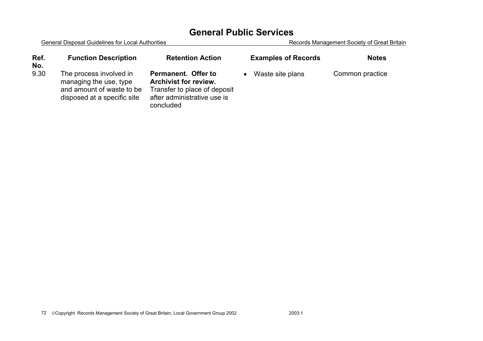| Ref.<br>No. | <b>Function Description</b>                                                                                   | <b>Retention Action</b>                                                                                                         | <b>Examples of Records</b> | <b>Notes</b>    |
|-------------|---------------------------------------------------------------------------------------------------------------|---------------------------------------------------------------------------------------------------------------------------------|----------------------------|-----------------|
| 9.30        | The process involved in<br>managing the use, type<br>and amount of waste to be<br>disposed at a specific site | Permanent. Offer to<br><b>Archivist for review.</b><br>Transfer to place of deposit<br>after administrative use is<br>concluded | Waste site plans           | Common practice |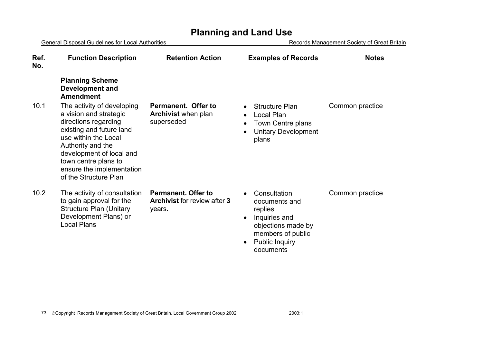|             | <b>General Disposal Guidelines for Local Authorities</b>                                                                                                                                                                                                        |                                                                             | Records Management Society of Great Britain                                                                                                                          |                 |
|-------------|-----------------------------------------------------------------------------------------------------------------------------------------------------------------------------------------------------------------------------------------------------------------|-----------------------------------------------------------------------------|----------------------------------------------------------------------------------------------------------------------------------------------------------------------|-----------------|
| Ref.<br>No. | <b>Function Description</b>                                                                                                                                                                                                                                     | <b>Retention Action</b>                                                     | <b>Examples of Records</b>                                                                                                                                           | <b>Notes</b>    |
|             | <b>Planning Scheme</b><br><b>Development and</b><br><b>Amendment</b>                                                                                                                                                                                            |                                                                             |                                                                                                                                                                      |                 |
| 10.1        | The activity of developing<br>a vision and strategic<br>directions regarding<br>existing and future land<br>use within the Local<br>Authority and the<br>development of local and<br>town centre plans to<br>ensure the implementation<br>of the Structure Plan | Permanent. Offer to<br><b>Archivist</b> when plan<br>superseded             | <b>Structure Plan</b><br>$\bullet$<br>Local Plan<br>$\bullet$<br>Town Centre plans<br><b>Unitary Development</b><br>plans                                            | Common practice |
| 10.2        | The activity of consultation<br>to gain approval for the<br><b>Structure Plan (Unitary</b><br>Development Plans) or<br><b>Local Plans</b>                                                                                                                       | <b>Permanent. Offer to</b><br><b>Archivist for review after 3</b><br>years. | Consultation<br>$\bullet$<br>documents and<br>replies<br>Inquiries and<br>objections made by<br>members of public<br><b>Public Inquiry</b><br>$\bullet$<br>documents | Common practice |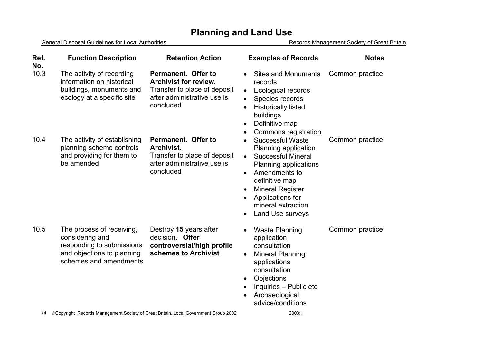General Disposal Guidelines for Local Authorities **Records Management Society of Great Britain** 

| Ref.<br>No. | <b>Function Description</b>                                                                                                       | <b>Retention Action</b>                                                                                                         | <b>Examples of Records</b>                                                                                                                                                                                                                                               | <b>Notes</b>    |
|-------------|-----------------------------------------------------------------------------------------------------------------------------------|---------------------------------------------------------------------------------------------------------------------------------|--------------------------------------------------------------------------------------------------------------------------------------------------------------------------------------------------------------------------------------------------------------------------|-----------------|
| 10.3        | The activity of recording<br>information on historical<br>buildings, monuments and<br>ecology at a specific site                  | Permanent. Offer to<br><b>Archivist for review.</b><br>Transfer to place of deposit<br>after administrative use is<br>concluded | <b>Sites and Monuments</b><br>records<br><b>Ecological records</b><br>$\bullet$<br>Species records<br><b>Historically listed</b><br>buildings<br>Definitive map<br>$\bullet$<br>Commons registration                                                                     | Common practice |
| 10.4        | The activity of establishing<br>planning scheme controls<br>and providing for them to<br>be amended                               | Permanent. Offer to<br><b>Archivist.</b><br>Transfer to place of deposit<br>after administrative use is<br>concluded            | <b>Successful Waste</b><br>Planning application<br><b>Successful Mineral</b><br>$\bullet$<br>Planning applications<br>Amendments to<br>$\bullet$<br>definitive map<br><b>Mineral Register</b><br>$\bullet$<br>Applications for<br>mineral extraction<br>Land Use surveys | Common practice |
| 10.5        | The process of receiving,<br>considering and<br>responding to submissions<br>and objections to planning<br>schemes and amendments | Destroy 15 years after<br>decision. Offer<br>controversial/high profile<br>schemes to Archivist                                 | <b>Waste Planning</b><br>application<br>consultation<br><b>Mineral Planning</b><br>$\bullet$<br>applications<br>consultation<br>Objections<br>Inquiries - Public etc<br>Archaeological:<br>advice/conditions                                                             | Common practice |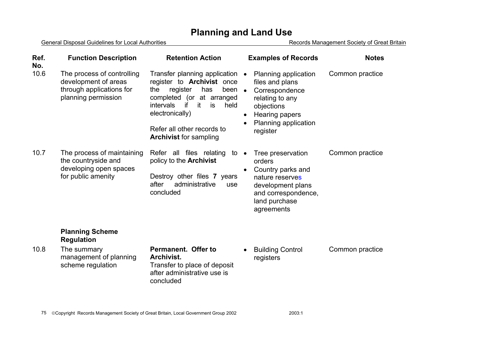General Disposal Guidelines for Local Authorities **Records Management Society of Great Britain** 

| Ref.<br>No. | <b>Function Description</b>                                                                           | <b>Retention Action</b>                                                                                                                                                                                                                                                 | <b>Examples of Records</b>                                                                                                                                    | <b>Notes</b>    |
|-------------|-------------------------------------------------------------------------------------------------------|-------------------------------------------------------------------------------------------------------------------------------------------------------------------------------------------------------------------------------------------------------------------------|---------------------------------------------------------------------------------------------------------------------------------------------------------------|-----------------|
| 10.6        | The process of controlling<br>development of areas<br>through applications for<br>planning permission | Transfer planning application •<br>register to <b>Archivist</b> once<br>register<br>has<br>the<br>been $\bullet$<br>completed (or at arranged<br>intervals<br>if<br>is<br>-it<br>held<br>electronically)<br>Refer all other records to<br><b>Archivist for sampling</b> | Planning application<br>files and plans<br>Correspondence<br>relating to any<br>objections<br>Hearing papers<br>$\bullet$<br>Planning application<br>register | Common practice |
| 10.7        | The process of maintaining<br>the countryside and<br>developing open spaces<br>for public amenity     | Refer all files relating<br>to<br>policy to the <b>Archivist</b><br>Destroy other files 7 years<br>after<br>administrative<br>use<br>concluded                                                                                                                          | Tree preservation<br>$\bullet$<br>orders<br>Country parks and<br>nature reserves<br>development plans<br>and correspondence,<br>land purchase<br>agreements   | Common practice |
|             | <b>Planning Scheme</b><br><b>Regulation</b>                                                           |                                                                                                                                                                                                                                                                         |                                                                                                                                                               |                 |
| 10.8        | The summary<br>management of planning<br>scheme regulation                                            | Permanent. Offer to<br><b>Archivist.</b><br>Transfer to place of deposit<br>after administrative use is<br>concluded                                                                                                                                                    | <b>Building Control</b><br>$\bullet$<br>registers                                                                                                             | Common practice |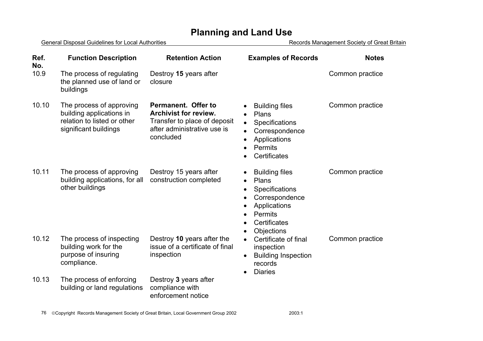|             | General Disposal Guidelines for Local Authorities                                                            |                                                                                                                                 | Records Management Society of Great Britain                                                                                                           |                 |
|-------------|--------------------------------------------------------------------------------------------------------------|---------------------------------------------------------------------------------------------------------------------------------|-------------------------------------------------------------------------------------------------------------------------------------------------------|-----------------|
| Ref.<br>No. | <b>Function Description</b>                                                                                  | <b>Retention Action</b>                                                                                                         | <b>Examples of Records</b>                                                                                                                            | <b>Notes</b>    |
| 10.9        | The process of regulating<br>the planned use of land or<br>buildings                                         | Destroy 15 years after<br>closure                                                                                               |                                                                                                                                                       | Common practice |
| 10.10       | The process of approving<br>building applications in<br>relation to listed or other<br>significant buildings | Permanent. Offer to<br><b>Archivist for review.</b><br>Transfer to place of deposit<br>after administrative use is<br>concluded | <b>Building files</b><br>Plans<br>Specifications<br>$\bullet$<br>Correspondence<br>Applications<br>Permits<br>Certificates                            | Common practice |
| 10.11       | The process of approving<br>building applications, for all<br>other buildings                                | Destroy 15 years after<br>construction completed                                                                                | <b>Building files</b><br>Plans<br>$\bullet$<br>Specifications<br>Correspondence<br>Applications<br>Permits<br>Certificates<br>$\bullet$<br>Objections | Common practice |
| 10.12       | The process of inspecting<br>building work for the<br>purpose of insuring<br>compliance.                     | Destroy 10 years after the<br>issue of a certificate of final<br>inspection                                                     | Certificate of final<br>$\bullet$<br>inspection<br><b>Building Inspection</b><br>records<br><b>Diaries</b>                                            | Common practice |
| 10.13       | The process of enforcing<br>building or land regulations                                                     | Destroy 3 years after<br>compliance with<br>enforcement notice                                                                  |                                                                                                                                                       |                 |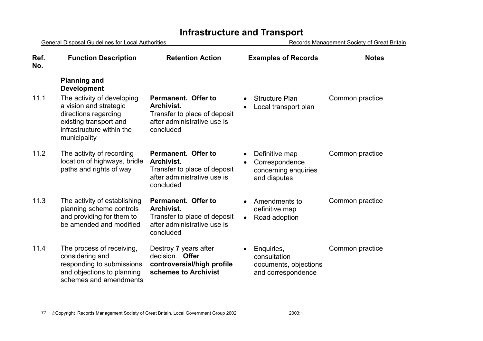# **Infrastructure and Transport**

| General Disposal Guidelines for Local Authorities |                                                                                                                                                     | Records Management Society of Great Britain                                                                          |                                                                           |                 |
|---------------------------------------------------|-----------------------------------------------------------------------------------------------------------------------------------------------------|----------------------------------------------------------------------------------------------------------------------|---------------------------------------------------------------------------|-----------------|
| Ref.<br>No.                                       | <b>Function Description</b>                                                                                                                         | <b>Retention Action</b>                                                                                              | <b>Examples of Records</b>                                                | <b>Notes</b>    |
|                                                   | <b>Planning and</b><br><b>Development</b>                                                                                                           |                                                                                                                      |                                                                           |                 |
| 11.1                                              | The activity of developing<br>a vision and strategic<br>directions regarding<br>existing transport and<br>infrastructure within the<br>municipality | Permanent. Offer to<br><b>Archivist.</b><br>Transfer to place of deposit<br>after administrative use is<br>concluded | <b>Structure Plan</b><br>$\bullet$<br>Local transport plan                | Common practice |
| 11.2                                              | The activity of recording<br>location of highways, bridle<br>paths and rights of way                                                                | Permanent. Offer to<br><b>Archivist.</b><br>Transfer to place of deposit<br>after administrative use is<br>concluded | Definitive map<br>Correspondence<br>concerning enquiries<br>and disputes  | Common practice |
| 11.3                                              | The activity of establishing<br>planning scheme controls<br>and providing for them to<br>be amended and modified                                    | Permanent. Offer to<br><b>Archivist.</b><br>Transfer to place of deposit<br>after administrative use is<br>concluded | Amendments to<br>definitive map<br>Road adoption<br>$\bullet$             | Common practice |
| 11.4                                              | The process of receiving,<br>considering and<br>responding to submissions<br>and objections to planning<br>schemes and amendments                   | Destroy 7 years after<br>decision. Offer<br>controversial/high profile<br>schemes to Archivist                       | Enquiries,<br>consultation<br>documents, objections<br>and correspondence | Common practice |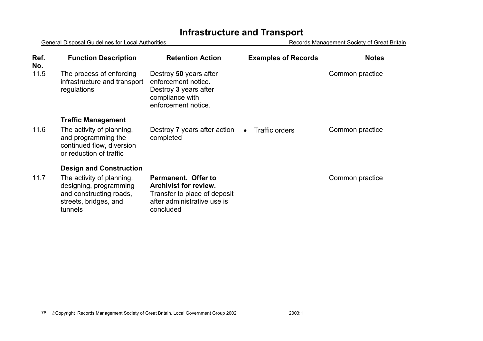# **Infrastructure and Transport**

General Disposal Guidelines for Local Authorities **Records Management Society of Great Britain** 

| Ref.<br>No. | <b>Function Description</b>                                                                                        | <b>Retention Action</b>                                                                                                         | <b>Examples of Records</b>  | <b>Notes</b>    |
|-------------|--------------------------------------------------------------------------------------------------------------------|---------------------------------------------------------------------------------------------------------------------------------|-----------------------------|-----------------|
| 11.5        | The process of enforcing<br>infrastructure and transport<br>regulations                                            | Destroy 50 years after<br>enforcement notice.<br>Destroy 3 years after<br>compliance with<br>enforcement notice.                |                             | Common practice |
|             | <b>Traffic Management</b>                                                                                          |                                                                                                                                 |                             |                 |
| 11.6        | The activity of planning,<br>and programming the<br>continued flow, diversion<br>or reduction of traffic           | Destroy 7 years after action<br>completed                                                                                       | Traffic orders<br>$\bullet$ | Common practice |
|             | <b>Design and Construction</b>                                                                                     |                                                                                                                                 |                             |                 |
| 11.7        | The activity of planning,<br>designing, programming<br>and constructing roads,<br>streets, bridges, and<br>tunnels | Permanent. Offer to<br><b>Archivist for review.</b><br>Transfer to place of deposit<br>after administrative use is<br>concluded |                             | Common practice |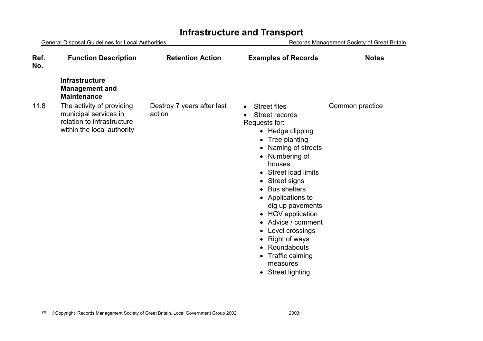### General Disposal Guidelines for Local Authorities **Records Management Society of Great Britain Ref. No.Function Description Retention Action Examples of Records Notes Infrastructure Management and Maintenance** 11.8 The activity of providing municipal services in relation to infrastructure within the local authority Destroy **7** years after last action • Street files Street records Requests for: • Hedge clipping • Tree planting • Naming of streets • Numbering of houses • Street load limits • Street signs • Bus shelters • Applications to dig up pavements • HGV application • Advice / comment• Level crossings • Right of ways • Roundabouts • Traffic calming measures • Street lighting Common practice

## **Infrastructure and Transport**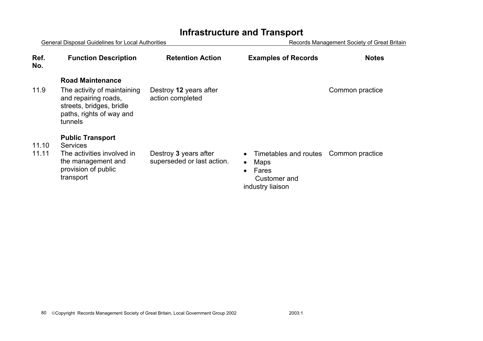# **Infrastructure and Transport**

| <b>General Disposal Guidelines for Local Authorities</b> |                                                                                                                        | Records Management Society of Great Britain         |                                                                                                             |                 |
|----------------------------------------------------------|------------------------------------------------------------------------------------------------------------------------|-----------------------------------------------------|-------------------------------------------------------------------------------------------------------------|-----------------|
| Ref.<br>No.                                              | <b>Function Description</b>                                                                                            | <b>Retention Action</b>                             | <b>Examples of Records</b>                                                                                  | <b>Notes</b>    |
|                                                          | <b>Road Maintenance</b>                                                                                                |                                                     |                                                                                                             |                 |
| 11.9                                                     | The activity of maintaining<br>and repairing roads,<br>streets, bridges, bridle<br>paths, rights of way and<br>tunnels | Destroy 12 years after<br>action completed          |                                                                                                             | Common practice |
|                                                          | <b>Public Transport</b>                                                                                                |                                                     |                                                                                                             |                 |
| 11.10<br>11.11                                           | <b>Services</b><br>The activities involved in<br>the management and<br>provision of public<br>transport                | Destroy 3 years after<br>superseded or last action. | Timetables and routes<br><b>Maps</b><br>$\bullet$<br>Fares<br>$\bullet$<br>Customer and<br>industry liaison | Common practice |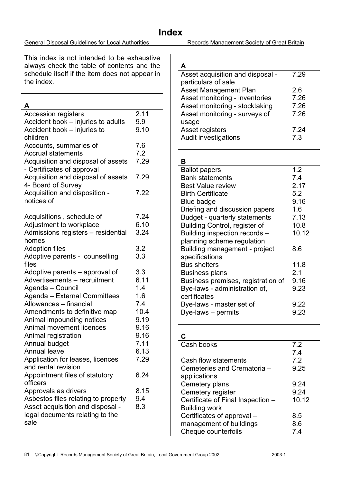### General Disposal Guidelines for Local Authorities Records Management Society of Great Britain

## **Index**

This index is not intended to be exhaustive always check the table of contents and the schedule itself if the item does not appear in the index.

### **A**

| <b>Accession registers</b><br>Accident book - injuries to adults<br>Accident book – injuries to                                                                                                                                                                                                                                                                 | 2.11<br>9.9<br>9.10                                                                      |
|-----------------------------------------------------------------------------------------------------------------------------------------------------------------------------------------------------------------------------------------------------------------------------------------------------------------------------------------------------------------|------------------------------------------------------------------------------------------|
| children<br>Accounts, summaries of<br><b>Accrual statements</b><br>Acquisition and disposal of assets                                                                                                                                                                                                                                                           | 7.6<br>7.2<br>7.29                                                                       |
| - Certificates of approval<br>Acquisition and disposal of assets<br>4- Board of Survey                                                                                                                                                                                                                                                                          | 7.29                                                                                     |
| Acquisition and disposition -<br>notices of                                                                                                                                                                                                                                                                                                                     | 7.22                                                                                     |
| Acquisitions, schedule of<br>Adjustment to workplace<br>Admissions registers - residential<br>homes                                                                                                                                                                                                                                                             | 7.24<br>6.10<br>3.24                                                                     |
| <b>Adoption files</b><br>Adoptive parents - counselling<br>files                                                                                                                                                                                                                                                                                                | 3.2<br>3.3                                                                               |
| Adoptive parents – approval of<br>Advertisements - recruitment<br>Agenda - Council<br>Agenda - External Committees<br>Allowances - financial<br>Amendments to definitive map<br>Animal impounding notices<br>Animal movement licences<br>Animal registration<br>Annual budget<br><b>Annual leave</b><br>Application for leases, licences<br>and rental revision | 3.3<br>6.11<br>1.4<br>1.6<br>7.4<br>10.4<br>9.19<br>9.16<br>9.16<br>7.11<br>6.13<br>7.29 |
| Appointment files of statutory<br>officers<br>Approvals as drivers<br>Asbestos files relating to property<br>Asset acquisition and disposal -<br>legal documents relating to the<br>sale                                                                                                                                                                        | 6.24<br>8.15<br>9.4<br>8.3                                                               |

**A** 

| Asset acquisition and disposal - | 7.29 |
|----------------------------------|------|
| particulars of sale              |      |
| <b>Asset Management Plan</b>     | 26   |
| Asset monitoring - inventories   | 7.26 |
| Asset monitoring - stocktaking   | 7.26 |
| Asset monitoring - surveys of    | 7.26 |
| usage                            |      |
| Asset registers                  | 7.24 |
| <b>Audit investigations</b>      | 7.3  |
|                                  |      |

## **B**

| D                                  |       |
|------------------------------------|-------|
| <b>Ballot papers</b>               | 1.2   |
| <b>Bank statements</b>             | 7.4   |
| <b>Best Value review</b>           | 2.17  |
| <b>Birth Certificate</b>           | 5.2   |
| Blue badge                         | 9.16  |
| Briefing and discussion papers     | 1.6   |
| Budget - quarterly statements      | 7.13  |
| Building Control, register of      | 10.8  |
| Building inspection records -      | 10.12 |
| planning scheme regulation         |       |
| Building management - project      | 8.6   |
| specifications                     |       |
| <b>Bus shelters</b>                | 11.8  |
| <b>Business plans</b>              | 2.1   |
| Business premises, registration of | 9.16  |
| Bye-laws - administration of,      | 9.23  |
| certificates                       |       |
| Bye-laws - master set of           | 9.22  |
| Bye-laws - permits                 | 9.23  |

### **C**

| Cash books                        | 7.2   |
|-----------------------------------|-------|
|                                   | 7.4   |
| Cash flow statements              | 7.2   |
| Cemeteries and Crematoria -       | 9.25  |
| applications                      |       |
| Cemetery plans                    | 9.24  |
| Cemetery register                 | 9.24  |
| Certificate of Final Inspection - | 10.12 |
| <b>Building work</b>              |       |
| Certificates of approval -        | 8.5   |
| management of buildings           | 8.6   |
| Cheque counterfoils               | 7.4   |
|                                   |       |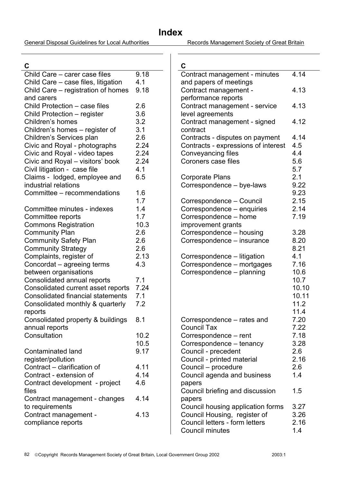General Disposal Guidelines for Local Authorities Records Management Society of Great Britain

**C** 

| C                                                      |      |
|--------------------------------------------------------|------|
| Child Care - carer case files                          | 9.18 |
| Child Care – case files, litigation                    | 4.1  |
| Child Care – registration of homes                     | 9.18 |
| and carers                                             |      |
| Child Protection - case files                          | 2.6  |
| Child Protection - register                            | 3.6  |
| Children's homes                                       | 3.2  |
| Children's homes - register of                         | 3.1  |
| Children's Services plan                               | 2.6  |
| Civic and Royal - photographs                          | 2.24 |
| Civic and Royal - video tapes                          | 2.24 |
| Civic and Royal - visitors' book                       | 2.24 |
| Civil litigation - case file                           | 4.1  |
| Claims - lodged, employee and                          | 6.5  |
| industrial relations                                   |      |
| Committee – recommendations                            | 1.6  |
|                                                        | 1.7  |
| Committee minutes - indexes                            | 1.4  |
| Committee reports                                      | 1.7  |
| <b>Commons Registration</b>                            | 10.3 |
| <b>Community Plan</b>                                  | 2.6  |
| <b>Community Safety Plan</b>                           | 2.6  |
| <b>Community Strategy</b>                              | 2.6  |
| Complaints, register of                                | 2.13 |
| Concordat - agreeing terms                             | 4.3  |
| between organisations                                  |      |
| Consolidated annual reports                            | 7.1  |
| Consolidated current asset reports                     | 7.24 |
| <b>Consolidated financial statements</b>               | 7.1  |
|                                                        | 7.2  |
| Consolidated monthly & quarterly                       |      |
| reports                                                |      |
| Consolidated property & buildings                      | 8.1  |
| annual reports<br>Consultation                         | 10.2 |
|                                                        | 10.5 |
| <b>Contaminated land</b>                               | 9.17 |
|                                                        |      |
| register/pollution                                     | 4.11 |
| Contract - clarification of<br>Contract - extension of | 4.14 |
|                                                        | 4.6  |
| Contract development - project<br>files                |      |
|                                                        | 4.14 |
| Contract management - changes<br>to requirements       |      |
| Contract management -                                  | 4.13 |
| compliance reports                                     |      |
|                                                        |      |

| 4.14         |
|--------------|
| 4.13         |
|              |
| 4.13         |
| 4.12         |
|              |
| 4.14<br>4.5  |
| 4.4          |
| 5.6          |
| 5.7          |
| 2.1          |
| 9.22         |
| 9.23         |
| 2.15         |
| 2.14         |
| 7.19         |
|              |
| 3.28         |
| 8.20<br>8.21 |
| 4.1          |
| 7.16         |
| 10.6         |
| 10.7         |
| 10.10        |
| 10.11        |
| 11.2         |
| 11.4         |
| 7.20<br>7.22 |
| 7.18         |
| 3.28         |
| 2.6          |
| 2.16         |
| 2.6          |
| 1.4          |
|              |
| 1.5          |
| 3.27         |
| 3.26         |
| 2.16         |
| 1.4          |
|              |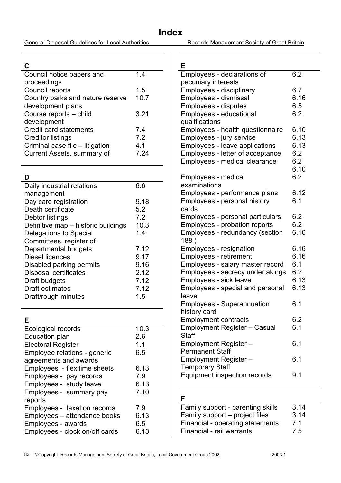General Disposal Guidelines for Local Authorities Records Management Society of Great Britain

### **C**

| Council notice papers and        | 14   |
|----------------------------------|------|
| proceedings                      |      |
| Council reports                  | 1.5  |
| Country parks and nature reserve | 10.7 |
| development plans                |      |
| Course reports - child           | 3.21 |
| development                      |      |
| <b>Credit card statements</b>    | 7.4  |
| <b>Creditor listings</b>         | 7.2  |
| Criminal case file - litigation  | 4.1  |
| Current Assets, summary of       | 7 24 |
|                                  |      |

### **D**

| Daily industrial relations          | 6.6  |
|-------------------------------------|------|
| management                          |      |
| Day care registration               | 9.18 |
| Death certificate                   | 5.2  |
| Debtor listings                     | 7.2  |
| Definitive map – historic buildings | 10.3 |
| Delegations to Special              | 1.4  |
| Committees, register of             |      |
| Departmental budgets                | 7.12 |
| Diesel licences                     | 9.17 |
| Disabled parking permits            | 9.16 |
| <b>Disposal certificates</b>        | 2.12 |
| Draft budgets                       | 7.12 |
| <b>Draft estimates</b>              | 7.12 |
| Draft/rough minutes                 | 1.5  |
|                                     |      |

## **E**

| Ecological records             | 10.3 |  |
|--------------------------------|------|--|
| Education plan                 | 2.6  |  |
| <b>Electoral Register</b>      | 1.1  |  |
| Employee relations - generic   | 6.5  |  |
| agreements and awards          |      |  |
| Employees - flexitime sheets   | 6.13 |  |
| Employees - pay records        | 7.9  |  |
| Employees - study leave        | 6.13 |  |
| Employees - summary pay        | 7.10 |  |
| reports                        |      |  |
| Employees - taxation records   | 7.9  |  |
| Employees – attendance books   | 6.13 |  |
| Employees - awards             | 6.5  |  |
| Employees - clock on/off cards | 6.13 |  |
|                                |      |  |

| E                                                               |            |
|-----------------------------------------------------------------|------------|
| Employees - declarations of                                     | 6.2        |
| pecuniary interests                                             |            |
| Employees - disciplinary                                        | 6.7        |
| Employees - dismissal                                           | 6.16       |
| <b>Employees - disputes</b>                                     | 6.5        |
| Employees - educational                                         | 6.2        |
| qualifications                                                  |            |
| Employees - health questionnaire                                | 6.10       |
| Employees - jury service                                        | 6.13       |
| Employees - leave applications                                  | 6.13       |
| Employees - letter of acceptance                                | 6.2        |
| Employees - medical clearance                                   | 6.2        |
|                                                                 | 6.10       |
| Employees - medical                                             | 6.2        |
| examinations                                                    |            |
| Employees - performance plans                                   | 6.12       |
| Employees - personal history                                    | 6.1        |
| cards                                                           |            |
| Employees - personal particulars                                | 6.2<br>6.2 |
| Employees - probation reports                                   |            |
| Employees - redundancy (section                                 | 6.16       |
| 188)                                                            | 6.16       |
| <b>Employees - resignation</b><br><b>Employees - retirement</b> | 6.16       |
| Employees - salary master record                                | 6.1        |
| Employees - secrecy undertakings                                | 6.2        |
| Employees - sick leave                                          | 6.13       |
| Employees - special and personal                                | 6.13       |
| leave                                                           |            |
| <b>Employees - Superannuation</b>                               | 6.1        |
| history card                                                    |            |
| Employment contracts                                            | 6.2        |
| <b>Employment Register - Casual</b>                             | 6.1        |
| <b>Staff</b>                                                    |            |
| <b>Employment Register -</b>                                    | 6.1        |
| <b>Permanent Staff</b>                                          |            |
| <b>Employment Register -</b>                                    | 6.1        |
| <b>Temporary Staff</b>                                          |            |
| <b>Equipment inspection records</b>                             | 9.1        |
|                                                                 |            |

# **F**

| Family support - parenting skills | 3.14 |
|-----------------------------------|------|
| Family support – project files    | 3.14 |
| Financial - operating statements  | 7.1  |
| Financial - rail warrants         | 7.5  |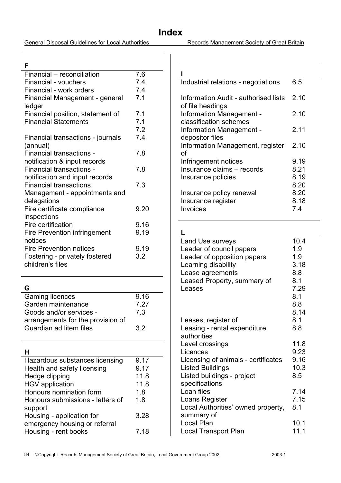General Disposal Guidelines for Local Authorities Records Management Society of Great Britain

### **F**

| Financial - reconciliation          | 7.6  |
|-------------------------------------|------|
| Financial - vouchers                | 7.4  |
| Financial - work orders             | 7.4  |
| Financial Management - general      | 7.1  |
| ledger                              |      |
| Financial position, statement of    | 7.1  |
| <b>Financial Statements</b>         | 7.1  |
|                                     | 7.2  |
| Financial transactions - journals   | 7.4  |
| (annual)                            |      |
| Financial transactions -            | 7.8  |
| notification & input records        |      |
| Financial transactions -            | 7.8  |
| notification and input records      |      |
| <b>Financial transactions</b>       | 7.3  |
| Management - appointments and       |      |
| delegations                         |      |
| Fire certificate compliance         | 9.20 |
| inspections                         |      |
| Fire certification                  | 9.16 |
| <b>Fire Prevention infringement</b> | 9.19 |
| notices                             |      |
| <b>Fire Prevention notices</b>      | 9.19 |
| Fostering - privately fostered      | 3.2  |
| children's files                    |      |
|                                     |      |

## **G**

 $\sim$ 

| <b>Gaming licences</b>            | 9.16 |
|-----------------------------------|------|
| Garden maintenance                | 7.27 |
| Goods and/or services -           | 7 3  |
| arrangements for the provision of |      |
| Guardian ad litem files           | 32   |
|                                   |      |

| 9.17 |
|------|
| 9.17 |
| 11.8 |
| 11.8 |
| 1.8  |
| 1.8  |
|      |
| 3.28 |
|      |
| 7.18 |
|      |

| Industrial relations - negotiations                       | 6.5  |
|-----------------------------------------------------------|------|
| Information Audit - authorised lists<br>of file headings  | 2.10 |
| Information Management -<br>classification schemes        | 2.10 |
| Information Management -                                  | 2.11 |
| depositor files<br>Information Management, register<br>οf | 2.10 |
| Infringement notices                                      | 9.19 |
| Insurance claims - records                                | 8.21 |
| Insurance policies                                        | 8.19 |
|                                                           | 8.20 |
| Insurance policy renewal                                  | 8.20 |
| Insurance register                                        | 8.18 |
| Invoices                                                  | 7.4  |

| L                                   |      |
|-------------------------------------|------|
| Land Use surveys                    | 10.4 |
| Leader of council papers            | 1.9  |
| Leader of opposition papers         | 1.9  |
| Learning disability                 | 3.18 |
| Lease agreements                    | 8.8  |
| Leased Property, summary of         | 8.1  |
| Leases                              | 7.29 |
|                                     | 8.1  |
|                                     | 8.8  |
|                                     | 8.14 |
| Leases, register of                 | 8.1  |
| Leasing - rental expenditure        | 8.8  |
| authorities                         |      |
| Level crossings                     | 11.8 |
| Licences                            | 9.23 |
| Licensing of animals - certificates | 9.16 |
| <b>Listed Buildings</b>             | 10.3 |
| Listed buildings - project          | 8.5  |
| specifications                      |      |
| Loan files                          | 7.14 |
| Loans Register                      | 7.15 |
| Local Authorities' owned property,  | 8.1  |
| summary of                          |      |
| Local Plan                          | 10.1 |
| <b>Local Transport Plan</b>         | 11.1 |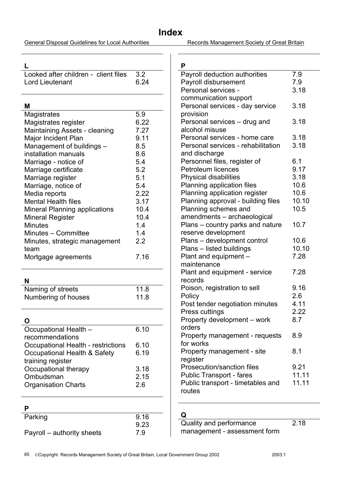General Disposal Guidelines for Local Authorities Records Management Society of Great Britain

**L** 

| Looked after children - client files 3.2 |  |
|------------------------------------------|--|
| 6.24<br>Lord Lieutenant                  |  |

### **M**

| IVI                                   |      |
|---------------------------------------|------|
| Magistrates                           | 5.9  |
| Magistrates register                  | 6.22 |
| Maintaining Assets - cleaning         | 7.27 |
| Major Incident Plan                   | 9.11 |
| Management of buildings -             | 8.5  |
| installation manuals                  | 8.6  |
| Marriage - notice of                  | 5.4  |
| Marriage certificate                  | 5.2  |
| Marriage register                     | 5.1  |
| Marriage, notice of                   | 5.4  |
| Media reports                         | 2.22 |
| Mental Health files                   | 3.17 |
| <b>Mineral Planning applications</b>  | 10.4 |
| Mineral Register                      | 10.4 |
| Minutes                               | 1.4  |
| Minutes - Committee                   | 1.4  |
| Minutes, strategic management<br>team | 2.2  |
| Mortgage agreements                   | 7.16 |

### **N**

| .                   |      |
|---------------------|------|
| Naming of streets   | 11.8 |
| Numbering of houses | 11.8 |

## **O**

| Occupational Health -                     | 6.10 |
|-------------------------------------------|------|
| recommendations                           |      |
| <b>Occupational Health - restrictions</b> | 6.10 |
| Occupational Health & Safety              | 6.19 |
| training register                         |      |
| Occupational therapy                      | 3.18 |
| Ombudsman                                 | 2.15 |
| <b>Organisation Charts</b>                | 2.6  |
|                                           |      |

### **P**

| Parking                    | 9.16 |
|----------------------------|------|
|                            | 9.23 |
| Payroll – authority sheets | 7.9  |

| P                                     |              |
|---------------------------------------|--------------|
| Payroll deduction authorities         | 7.9          |
| Payroll disbursement                  | 7.9          |
| Personal services -                   | 3.18         |
| communication support                 |              |
| Personal services - day service       | 3.18         |
| provision                             |              |
| Personal services – drug and          | 3.18         |
| alcohol misuse                        |              |
| Personal services - home care         | 3.18         |
| Personal services - rehabilitation    | 3.18         |
| and discharge                         |              |
| Personnel files, register of          | 6.1          |
| <b>Petroleum licences</b>             | 9.17         |
| <b>Physical disabilities</b>          | 3.18         |
| Planning application files            | 10.6         |
| Planning application register         | 10.6         |
| Planning approval - building files    | 10.10        |
| Planning schemes and                  | 10.5         |
| amendments - archaeological           |              |
| Plans – country parks and nature      | 10.7         |
| reserve development                   |              |
| Plans - development control           | 10.6         |
| Plans - listed buildings              | 10.10        |
| Plant and equipment -                 | 7.28         |
| maintenance                           |              |
| Plant and equipment - service         | 7.28         |
| records                               |              |
| Poison, registration to sell          | 9.16<br>2.6  |
| Policy                                |              |
| Post tender negotiation minutes       | 4.11<br>2.22 |
| Press cuttings                        | 8.7          |
| Property development - work<br>orders |              |
| Property management - requests        | 8.9          |
| for works                             |              |
| Property management - site            | 8.1          |
| register                              |              |
| Prosecution/sanction files            | 9.21         |
| <b>Public Transport - fares</b>       | 11.11        |
| Public transport - timetables and     | 11.11        |
| routes                                |              |
|                                       |              |

## **Q**

| Quality and performance      |  |
|------------------------------|--|
| management - assessment form |  |

2.18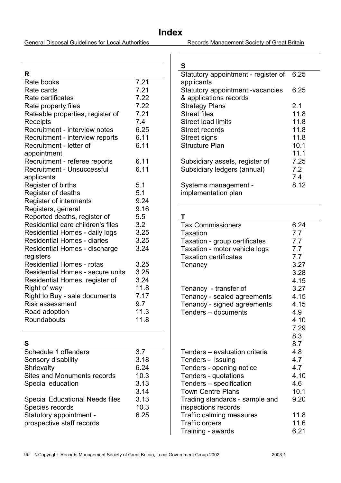General Disposal Guidelines for Local Authorities Records Management Society of Great Britain

### **S**

| R                                       |      |
|-----------------------------------------|------|
| Rate books                              | 7.21 |
| Rate cards                              | 7.21 |
| Rate certificates                       | 7.22 |
| Rate property files                     | 7.22 |
| Rateable properties, register of        | 7.21 |
| Receipts                                | 7.4  |
| Recruitment - interview notes           | 6.25 |
| Recruitment - interview reports         | 6.11 |
| Recruitment - letter of                 | 6.11 |
| appointment                             |      |
| Recruitment - referee reports           | 6.11 |
| <b>Recruitment - Unsuccessful</b>       | 6.11 |
| applicants                              |      |
| Register of births                      | 5.1  |
| Register of deaths                      | 5.1  |
| Register of interments                  | 9.24 |
| Registers, general                      | 9.16 |
| Reported deaths, register of            | 5.5  |
| Residential care children's files       | 3.2  |
| Residential Homes - daily logs          | 3.25 |
| <b>Residential Homes - diaries</b>      | 3.25 |
| Residential Homes - discharge           | 3.24 |
| registers                               |      |
| <b>Residential Homes - rotas</b>        | 3.25 |
| <b>Residential Homes - secure units</b> | 3.25 |
| Residential Homes, register of          | 3.24 |
| Right of way                            | 11.8 |
| Right to Buy - sale documents           | 7.17 |
| <b>Risk assessment</b>                  | 9.7  |
| Road adoption                           | 11.3 |
| Roundabouts                             | 11.8 |

| 3.7  |
|------|
| 3.18 |
| 6.24 |
| 10.3 |
| 3.13 |
| 3.14 |
| 3.13 |
| 10.3 |
| 6.25 |
|      |
|      |

| Statutory appointment - register of | 6.25 |
|-------------------------------------|------|
| applicants                          |      |
| Statutory appointment -vacancies    | 6.25 |
| & applications records              |      |
| <b>Strategy Plans</b>               | 2.1  |
| <b>Street files</b>                 | 11.8 |
| Street load limits                  | 11.8 |
| <b>Street records</b>               | 11.8 |
| Street signs                        | 11.8 |
| <b>Structure Plan</b>               | 10.1 |
|                                     | 11.1 |
| Subsidiary assets, register of      | 7.25 |
| Subsidiary ledgers (annual)         | 7.2  |
|                                     | 7.4  |
| Systems management -                | 8.12 |
| implementation plan                 |      |
|                                     |      |

## **T**

| 6.24 |
|------|
| 7.7  |
| 7.7  |
| 7.7  |
| 7.7  |
| 3.27 |
| 3.28 |
| 4.15 |
| 3.27 |
| 4.15 |
| 4.15 |
| 4.9  |
| 4.10 |
| 7.29 |
| 8.3  |
| 8.7  |
| 4.8  |
| 4.7  |
| 4.7  |
| 4.10 |
| 4.6  |
| 10.1 |
| 9.20 |
|      |
| 11.8 |
| 11.6 |
| 6.21 |
|      |